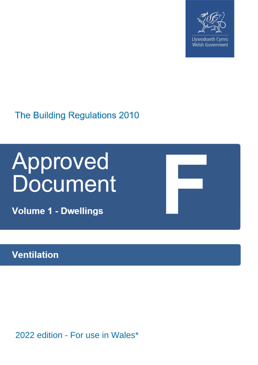

Llywodraeth Cymru Welsh Government

The Building Regulations 2010

# **Approved<br>Document**

**Volume 1 - Dwellings** 

# **Ventilation**

2022 edition - For use in Wales\*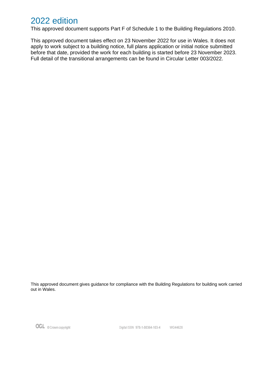# 2022 edition

This approved document supports Part F of Schedule 1 to the Building Regulations 2010.

This approved document takes effect on 23 November 2022 for use in Wales. It does not apply to work subject to a building notice, full plans application or initial notice submitted before that date, provided the work for each building is started before 23 November 2023. Full detail of the transitional arrangements can be found in Circular Letter 003/2022.

This approved document gives guidance for compliance with the Building Regulations for building work carried out in Wales.

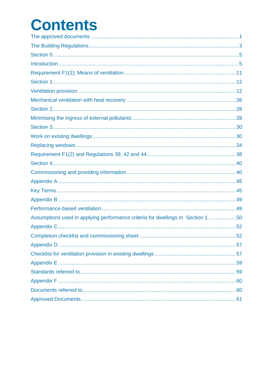# **Contents**

| Assumptions used in applying performance criteria for dwellings in Section 150 |  |
|--------------------------------------------------------------------------------|--|
|                                                                                |  |
|                                                                                |  |
|                                                                                |  |
|                                                                                |  |
|                                                                                |  |
|                                                                                |  |
|                                                                                |  |
|                                                                                |  |
|                                                                                |  |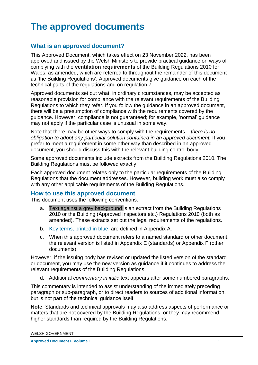# <span id="page-3-0"></span>**The approved documents**

# **What is an approved document?**

This Approved Document, which takes effect on 23 November 2022, has been approved and issued by the Welsh Ministers to provide practical guidance on ways of complying with the **ventilation requirements** of the Building Regulations 2010 for Wales, as amended, which are referred to throughout the remainder of this document as 'the Building Regulations'. Approved documents give guidance on each of the technical parts of the regulations and on regulation 7.

Approved documents set out what, in ordinary circumstances, may be accepted as reasonable provision for compliance with the relevant requirements of the Building Regulations to which they refer. If you follow the guidance in an approved document, there will be a presumption of compliance with the requirements covered by the guidance. However, compliance is not guaranteed; for example, 'normal' guidance may not apply if the particular case is unusual in some way.

Note that there may be other ways to comply with the requirements – *there is no obligation to adopt any particular solution contained in an approved document.* If you prefer to meet a requirement in some other way than described in an approved document, you should discuss this with the relevant building control body.

Some approved documents include extracts from the Building Regulations 2010. The Building Regulations must be followed exactly.

Each approved document relates only to the particular requirements of the Building Regulations that the document addresses. However, building work must also comply with any other applicable requirements of the Building Regulations.

## **How to use this approved document**

This document uses the following conventions.

- a. Text against a grey background is an extract from the Building Regulations 2010 or the Building (Approved Inspectors etc.) Regulations 2010 (both as amended). These extracts set out the legal requirements of the regulations.
- b. Key terms, printed in blue, are defined in Appendix A.
- c. When this approved document refers to a named standard or other document, the relevant version is listed in Appendix E (standards) or Appendix F (other documents).

However, if the issuing body has revised or updated the listed version of the standard or document, you may use the new version as guidance if it continues to address the relevant requirements of the Building Regulations.

d. Additional *commentary in italic* text appears after some numbered paragraphs.

This commentary is intended to assist understanding of the immediately preceding paragraph or sub-paragraph, or to direct readers to sources of additional information, but is not part of the technical guidance itself.

**Note**: Standards and technical approvals may also address aspects of performance or matters that are not covered by the Building Regulations, or they may recommend higher standards than required by the Building Regulations.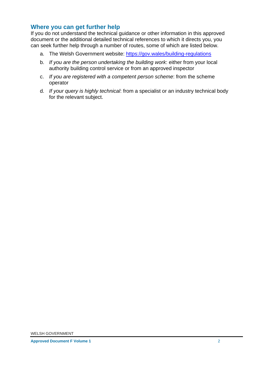# **Where you can get further help**

If you do not understand the technical guidance or other information in this approved document or the additional detailed technical references to which it directs you, you can seek further help through a number of routes, some of which are listed below.

- a. The Welsh Government website:<https://gov.wales/building-regulations>
- b. *If you are the person undertaking the building work*: either from your local authority building control service or from an approved inspector
- c. *If you are registered with a competent person scheme*: from the scheme operator
- d. *If your query is highly technical*: from a specialist or an industry technical body for the relevant subject.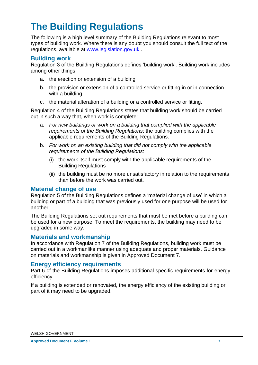# <span id="page-5-0"></span>**The Building Regulations**

The following is a high level summary of the Building Regulations relevant to most types of building work. Where there is any doubt you should consult the full text of the regulations, available at [www.legislation.gov.uk](http://www.legislation.gov.uk/) .

#### **Building work**

Regulation 3 of the Building Regulations defines 'building work'. Building work includes among other things:

- a. the erection or extension of a building
- b. the provision or extension of a controlled service or fitting in or in connection with a building
- c. the material alteration of a building or a controlled service or fitting.

Regulation 4 of the Building Regulations states that building work should be carried out in such a way that, when work is complete:

- a. *For new buildings or work on a building that complied with the applicable requirements of the Building Regulations*: the building complies with the applicable requirements of the Building Regulations.
- b. *For work on an existing building that did not comply with the applicable requirements of the Building Regulations*:
	- (i) the work itself must comply with the applicable requirements of the Building Regulations
	- (ii) the building must be no more unsatisfactory in relation to the requirements than before the work was carried out.

#### **Material change of use**

Regulation 5 of the Building Regulations defines a 'material change of use' in which a building or part of a building that was previously used for one purpose will be used for another.

The Building Regulations set out requirements that must be met before a building can be used for a new purpose. To meet the requirements, the building may need to be upgraded in some way.

#### **Materials and workmanship**

In accordance with Regulation 7 of the Building Regulations, building work must be carried out in a workmanlike manner using adequate and proper materials. Guidance on materials and workmanship is given in Approved Document 7.

#### **Energy efficiency requirements**

Part 6 of the Building Regulations imposes additional specific requirements for energy efficiency.

If a building is extended or renovated, the energy efficiency of the existing building or part of it may need to be upgraded.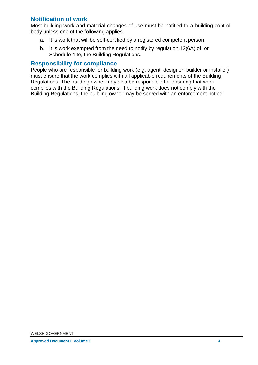## **Notification of work**

Most building work and material changes of use must be notified to a building control body unless one of the following applies.

- a. It is work that will be self-certified by a registered competent person.
- b. It is work exempted from the need to notify by regulation 12(6A) of, or Schedule 4 to, the Building Regulations.

#### **Responsibility for compliance**

People who are responsible for building work (e.g. agent, designer, builder or installer) must ensure that the work complies with all applicable requirements of the Building Regulations. The building owner may also be responsible for ensuring that work complies with the Building Regulations. If building work does not comply with the Building Regulations, the building owner may be served with an enforcement notice.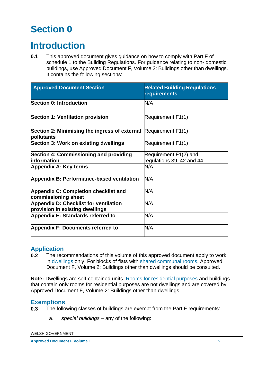# <span id="page-7-0"></span>**Section 0**

# <span id="page-7-1"></span>**Introduction**

**0.1** This approved document gives guidance on how to comply with Part F of schedule 1 to the Building Regulations. For guidance relating to non- domestic buildings, use Approved Document F, Volume 2: Buildings other than dwellings. It contains the following sections:

| <b>Approved Document Section</b>                                              | <b>Related Building Regulations</b><br>requirements |
|-------------------------------------------------------------------------------|-----------------------------------------------------|
| <b>Section 0: Introduction</b>                                                | N/A                                                 |
| <b>Section 1: Ventilation provision</b>                                       | Requirement F1(1)                                   |
| Section 2: Minimising the ingress of external Requirement F1(1)<br>pollutants |                                                     |
| Section 3: Work on existing dwellings                                         | Requirement F1(1)                                   |
| Section 4: Commissioning and providing                                        | Requirement F1(2) and                               |
| information                                                                   | regulations 39, 42 and 44                           |
| <b>Appendix A: Key terms</b>                                                  | N/A                                                 |
| Appendix B: Performance-based ventilation                                     | N/A                                                 |
| <b>Appendix C: Completion checklist and</b><br>commissioning sheet            | N/A                                                 |
| <b>Appendix D: Checklist for ventilation</b>                                  | N/A                                                 |
| provision in existing dwellings                                               |                                                     |
| Appendix E: Standards referred to                                             | N/A                                                 |
| <b>Appendix F: Documents referred to</b>                                      | N/A                                                 |

## **Application**

**0.2** The recommendations of this volume of this approved document apply to work in dwellings only. For blocks of flats with shared communal rooms, Approved Document F, Volume 2: Buildings other than dwellings should be consulted.

**Note:** Dwellings are self-contained units. Rooms for residential purposes and buildings that contain only rooms for residential purposes are not dwellings and are covered by Approved Document F, Volume 2: Buildings other than dwellings.

## **Exemptions**

- **0.3** The following classes of buildings are exempt from the Part F requirements:
	- a. *special buildings* any of the following: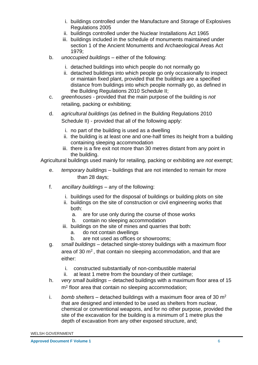- i. buildings controlled under the Manufacture and Storage of Explosives Regulations 2005
- ii. buildings controlled under the Nuclear Installations Act 1965
- iii. buildings included in the schedule of monuments maintained under section 1 of the Ancient Monuments and Archaeological Areas Act 1979;
- b. *unoccupied buildings* either of the following:
	- i. detached buildings into which people do not normally go
	- ii. detached buildings into which people go only occasionally to inspect or maintain fixed plant, provided that the buildings are a specified distance from buildings into which people normally go, as defined in the Building Regulations 2010 Schedule II;
- c. *greenhouses* provided that the main purpose of the building is *not*  retailing, packing or exhibiting;
- d. *agricultural buildings* (as defined in the Building Regulations 2010 Schedule II) - provided that all of the following apply:
	- i. no part of the building is used as a dwelling
	- ii. the building is at least one and one-half times its height from a building containing sleeping accommodation
	- iii. there is a fire exit not more than 30 metres distant from any point in the building.

Agricultural buildings used mainly for retailing, packing or exhibiting are *not* exempt;

- e. *temporary buildings* buildings that are not intended to remain for more than 28 days;
- f. *ancillary buildings* any of the following:
	- i. buildings used for the disposal of buildings or building plots on site
	- ii. buildings on the site of construction or civil engineering works that both:
		- a. are for use only during the course of those works
		- b. contain no sleeping accommodation
	- iii. buildings on the site of mines and quarries that both:
		- a. do not contain dwellings
		- b. are not used as offices or showrooms;
- g. *small buildings* detached single-storey buildings with a maximum floor area of 30  $\mathrm{m}^2$ , that contain no sleeping accommodation, and that are either:
	- i. constructed substantially of non-combustible material
	- ii. at least 1 metre from the boundary of their curtilage;
- h. *very small buildings* detached buildings with a maximum floor area of 15 m<sup>2</sup> floor area that contain no sleeping accommodation;
- i. *bomb shelters* detached buildings with a maximum floor area of 30  $m^2$ that are designed and intended to be used as shelters from nuclear, chemical or conventional weapons, and for no other purpose, provided the site of the excavation for the building is a minimum of 1 metre plus the depth of excavation from any other exposed structure, and;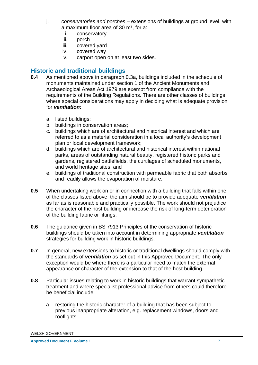- j. *conservatories and porches* extensions of buildings at ground level, with a maximum floor area of 30  $m^2$ , for a:
	- i. conservatory
	- ii. porch
	- iii. covered yard
	- iv. covered way
	- v. carport open on at least two sides.

## **Historic and traditional buildings**

- **0.4** As mentioned above in paragraph 0.3a, buildings included in the schedule of monuments maintained under section 1 of the Ancient Monuments and Archaeological Areas Act 1979 are exempt from compliance with the requirements of the Building Regulations. There are other classes of buildings where special considerations may apply in deciding what is adequate provision for *ventilation*:
	- a. listed buildings;
	- b. buildings in conservation areas;
	- c. buildings which are of architectural and historical interest and which are referred to as a material consideration in a local authority's development plan or local development framework;
	- d. buildings which are of architectural and historical interest within national parks, areas of outstanding natural beauty, registered historic parks and gardens, registered battlefields, the curtilages of scheduled monuments, and world heritage sites; and
	- e. buildings of traditional construction with permeable fabric that both absorbs and readily allows the evaporation of moisture.
- **0.5** When undertaking work on or in connection with a building that falls within one of the classes listed above, the aim should be to provide adequate *ventilation*  as far as is reasonable and practically possible. The work should not prejudice the character of the host building or increase the risk of long-term deterioration of the building fabric or fittings.
- **0.6** The guidance given in BS 7913 Principles of the conservation of historic buildings should be taken into account in determining appropriate *ventilation*  strategies for building work in historic buildings.
- **0.7** In general, new extensions to historic or traditional dwellings should comply with the standards of *ventilation* as set out in this Approved Document. The only exception would be where there is a particular need to match the external appearance or character of the extension to that of the host building.
- **0.8** Particular issues relating to work in historic buildings that warrant sympathetic treatment and where specialist professional advice from others could therefore be beneficial include:
	- a. restoring the historic character of a building that has been subject to previous inappropriate alteration, e.g. replacement windows, doors and rooflights;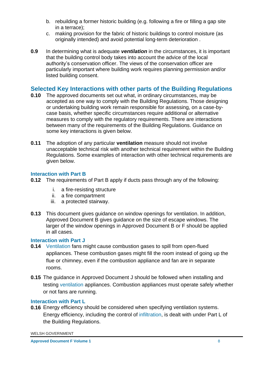- b. rebuilding a former historic building (e.g. following a fire or filling a gap site in a terrace);
- c. making provision for the fabric of historic buildings to control moisture (as originally intended) and avoid potential long-term deterioration .
- **0.9** In determining what is adequate *ventilation* in the circumstances, it is important that the building control body takes into account the advice of the local authority's conservation officer. The views of the conservation officer are particularly important where building work requires planning permission and/or listed building consent.

# **Selected Key Interactions with other parts of the Building Regulations**

- **0.10** The approved documents set out what, in ordinary circumstances, may be accepted as one way to comply with the Building Regulations. Those designing or undertaking building work remain responsible for assessing, on a case-bycase basis, whether specific circumstances require additional or alternative measures to comply with the regulatory requirements. There are interactions between many of the requirements of the Building Regulations. Guidance on some key interactions is given below.
- **0.11** The adoption of any particular **ventilation** measure should not involve unacceptable technical risk with another technical requirement within the Building Regulations. Some examples of interaction with other technical requirements are given below.

#### **Interaction with Part B**

- **0.12** The requirements of Part B apply if ducts pass through any of the following:
	- i. a fire-resisting structure
	- ii. a fire compartment
	- iii. a protected stairway.
- **0.13** This document gives guidance on window openings for ventilation. In addition, Approved Document B gives guidance on the size of escape windows. The larger of the window openings in Approved Document B or F should be applied in all cases.

## **Interaction with Part J**

- **0.14** Ventilation fans might cause combustion gases to spill from open-flued appliances. These combustion gases might fill the room instead of going up the flue or chimney, even if the combustion appliance and fan are in separate rooms.
- **0.15** The guidance in Approved Document J should be followed when installing and testing ventilation appliances. Combustion appliances must operate safely whether or not fans are running.

## **Interaction with Part L**

**0.16** Energy efficiency should be considered when specifying ventilation systems. Energy efficiency, including the control of infiltration, is dealt with under Part L of the Building Regulations.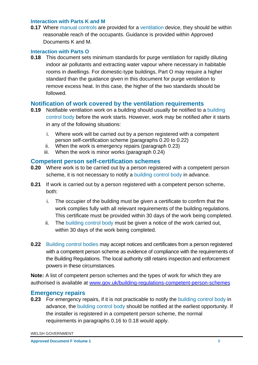#### **Interaction with Parts K and M**

**0.17** Where manual controls are provided for a ventilation device, they should be within reasonable reach of the occupants. Guidance is provided within Approved Documents K and M.

#### **Interaction with Parts O**

**0.18** This document sets minimum standards for purge ventilation for rapidly diluting indoor air pollutants and extracting water vapour where necessary in habitable rooms in dwellings. For domestic-type buildings, Part O may require a higher standard than the guidance given in this document for purge ventilation to remove excess heat. In this case, the higher of the two standards should be followed.

#### **Notification of work covered by the ventilation requirements**

- **0.19** Notifiable ventilation work on a building should usually be notified to a building control body before the work starts. However, work may be notified after it starts in any of the following situations:
	- i. Where work will be carried out by a person registered with a competent person self-certification scheme (paragraphs 0.20 to 0.22)
	- ii. When the work is emergency repairs (paragraph 0.23)
	- iii. When the work is minor works (paragraph 0.24)

#### **Competent person self-certification schemes**

- **0.20** Where work is to be carried out by a person registered with a competent person scheme, it is not necessary to notify a building control body in advance.
- **0.21** If work is carried out by a person registered with a competent person scheme, both:
	- i. The occupier of the building must be given a certificate to confirm that the work complies fully with all relevant requirements of the building regulations. This certificate must be provided within 30 days of the work being completed.
	- ii. The building control body must be given a notice of the work carried out, within 30 days of the work being completed.
- **0.22** Building control bodies may accept notices and certificates from a person registered with a competent person scheme as evidence of compliance with the requirements of the Building Regulations. The local authority still retains inspection and enforcement powers in these circumstances.

**Note:** A list of competent person schemes and the types of work for which they are authorised is available at [www.gov.uk/building-regulations-competent-person-schemes](http://www.gov.uk/building-regulations-competent-person-schemes)

#### **Emergency repairs**

**0.23** For emergency repairs, if it is not practicable to notify the building control body in advance, the building control body should be notified at the earliest opportunity. If the installer is registered in a competent person scheme, the normal requirements in paragraphs 0.16 to 0.18 would apply.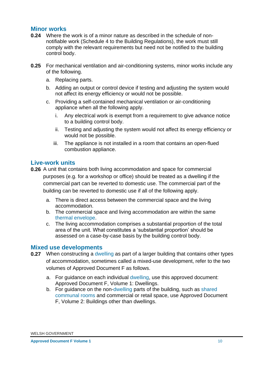#### **Minor works**

- **0.24** Where the work is of a minor nature as described in the schedule of nonnotifiable work (Schedule 4 to the Building Regulations), the work must still comply with the relevant requirements but need not be notified to the building control body.
- **0.25** For mechanical ventilation and air-conditioning systems, minor works include any of the following.
	- a. Replacing parts.
	- b. Adding an output or control device if testing and adjusting the system would not affect its energy efficiency or would not be possible.
	- c. Providing a self-contained mechanical ventilation or air-conditioning appliance when all the following apply.
		- i. Any electrical work is exempt from a requirement to give advance notice to a building control body.
		- ii. Testing and adjusting the system would not affect its energy efficiency or would not be possible.
		- iii. The appliance is not installed in a room that contains an open-flued combustion appliance.

## **Live-work units**

- **0.26** A unit that contains both living accommodation and space for commercial purposes (e.g. for a workshop or office) should be treated as a dwelling if the commercial part can be reverted to domestic use. The commercial part of the building can be reverted to domestic use if all of the following apply.
	- a. There is direct access between the commercial space and the living accommodation.
	- b. The commercial space and living accommodation are within the same thermal envelope.
	- c. The living accommodation comprises a substantial proportion of the total area of the unit. What constitutes a 'substantial proportion' should be assessed on a case-by-case basis by the building control body.

#### **Mixed use developments**

- **0.27** When constructing a dwelling as part of a larger building that contains other types of accommodation, sometimes called a mixed-use development, refer to the two volumes of Approved Document F as follows.
	- a. For guidance on each individual dwelling, use this approved document: Approved Document F, Volume 1: Dwellings.
	- b. For guidance on the non-dwelling parts of the building, such as shared communal rooms and commercial or retail space, use Approved Document F, Volume 2: Buildings other than dwellings.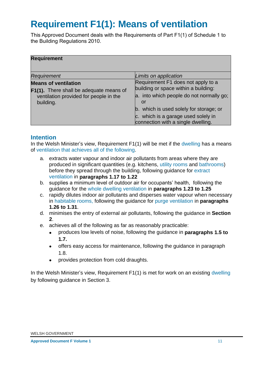# <span id="page-13-0"></span>**Requirement F1(1): Means of ventilation**

This Approved Document deals with the Requirements of Part F1(1) of Schedule 1 to the Building Regulations 2010.

| <b>Requirement</b>                                                                                                            |                                                                                                                                                                                                                                                      |
|-------------------------------------------------------------------------------------------------------------------------------|------------------------------------------------------------------------------------------------------------------------------------------------------------------------------------------------------------------------------------------------------|
| Requirement                                                                                                                   | Limits on application                                                                                                                                                                                                                                |
| <b>Means of ventilation</b><br>F1(1). There shall be adequate means of<br>ventilation provided for people in the<br>building. | Requirement F1 does not apply to a<br>building or space within a building:<br>a. into which people do not normally go;<br>or<br>b. which is used solely for storage; or<br>c. which is a garage used solely in<br>connection with a single dwelling. |

#### **Intention**

In the Welsh Minister's view, Requirement F1(1) will be met if the dwelling has a means of ventilation that achieves all of the following.

- a. extracts water vapour and indoor air pollutants from areas where they are produced in significant quantities (e.g. kitchens, utility rooms and bathrooms) before they spread through the building, following guidance for extract ventilation in **paragraphs 1.17 to 1.22**
- b. supplies a minimum level of outdoor air for occupants' health, following the guidance for the whole dwelling ventilation in **paragraphs 1.23 to 1.25**
- c. rapidly dilutes indoor air pollutants and disperses water vapour when necessary in habitable rooms, following the guidance for purge ventilation in **paragraphs 1.26 to 1.31**.
- d. minimises the entry of external air pollutants, following the guidance in **Section 2**.
- e. achieves all of the following as far as reasonably practicable:
	- produces low levels of noise, following the guidance in **paragraphs 1.5 to 1.7.**
	- offers easy access for maintenance, following the guidance in paragraph 1.8.
	- provides protection from cold draughts.

In the Welsh Minister's view, Requirement F1(1) is met for work on an existing dwelling by following guidance in Section 3.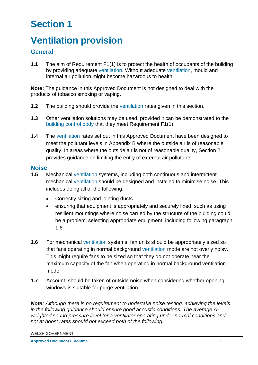# <span id="page-14-0"></span>**Section 1**

# <span id="page-14-1"></span>**Ventilation provision**

# **General**

**1.1** The aim of Requirement F1(1) is to protect the health of occupants of the building by providing adequate ventilation. Without adequate ventilation, mould and internal air pollution might become hazardous to health.

**Note:** The guidance in this Approved Document is not designed to deal with the products of tobacco smoking or vaping.

- **1.2** The building should provide the ventilation rates given in this section.
- **1.3** Other ventilation solutions may be used, provided it can be demonstrated to the building control body that they meet Requirement F1(1).
- **1.4** The ventilation rates set out in this Approved Document have been designed to meet the pollutant levels in Appendix B where the outside air is of reasonable quality. In areas where the outside air is not of reasonable quality, Section 2 provides guidance on limiting the entry of external air pollutants.

#### **Noise**

- **1.5** Mechanical ventilation systems, including both continuous and intermittent mechanical ventilation should be designed and installed to minimise noise. This includes doing all of the following.
	- Correctly sizing and jointing ducts.
	- ensuring that equipment is appropriately and securely fixed, such as using resilient mountings where noise carried by the structure of the building could be a problem. selecting appropriate equipment, including following paragraph 1.6.
- **1.6** For mechanical ventilation systems, fan units should be appropriately sized so that fans operating in normal background ventilation mode are not overly noisy. This might require fans to be sized so that they do not operate near the maximum capacity of the fan when operating in normal background ventilation mode.
- **1.7** Account should be taken of outside noise when considering whether opening windows is suitable for purge ventilation.

*Note: Although there is no requirement to undertake noise testing, achieving the levels in the following guidance should ensure good acoustic conditions. The average Aweighted sound pressure level for a ventilator operating under normal conditions and not at boost rates should not exceed both of the following.*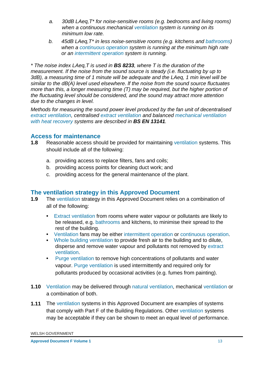- *a. 30dB LAeq,T\* for noise-sensitive rooms (e.g. bedrooms and living rooms) when a continuous mechanical ventilation system is running on its minimum low rate.*
- *b. 45dB LAeq,T\* in less noise-sensitive rooms (e.g. kitchens and bathrooms) when a continuous operation system is running at the minimum high rate or an intermittent operation system is running.*

*\* The noise index LAeq,T is used in BS 8233, where T is the duration of the measurement. If the noise from the sound source is steady (i.e. fluctuating by up to 3dB), a measuring time of 1 minute will be adequate and the LAeq, 1 min level will be similar to the dB(A) level used elsewhere. lf the noise from the sound source fluctuates more than this, a longer measuring time (T) may be required, but the higher portion of the fluctuating level should be considered, and the sound may attract more attention due to the changes in level.* 

*Methods for measuring the sound power level produced by the fan unit of decentralised extract ventilation, centralised extract ventilation and balanced mechanical ventilation with heat recovery systems are described in BS EN 13141.* 

## **Access for maintenance**

- **1.8** Reasonable access should be provided for maintaining ventilation systems. This should include all of the following:
	- a. providing access to replace filters, fans and coils;
	- b. providing access points for cleaning duct work; and
	- c. providing access for the general maintenance of the plant.

## **The ventilation strategy in this Approved Document**

- **1.9** The ventilation strategy in this Approved Document relies on a combination of all of the following:
	- *•* Extract ventilation from rooms where water vapour or pollutants are likely to be released, e.g. bathrooms and kitchens, to minimise their spread to the rest of the building.
	- *•* Ventilation fans may be either intermittent operation or continuous operation.
	- *•* Whole building ventilation to provide fresh air to the building and to dilute, disperse and remove water vapour and pollutants not removed by extract ventilation.
	- *•* Purge ventilation to remove high concentrations of pollutants and water vapour. Purge ventilation is used intermittently and required only for pollutants produced by occasional activities (e.g. fumes from painting).
- **1.10** Ventilation may be delivered through natural ventilation, mechanical ventilation or a combination of both.
- **1.11** The ventilation systems in this Approved Document are examples of systems that comply with Part F of the Building Regulations. Other ventilation systems may be acceptable if they can be shown to meet an equal level of performance.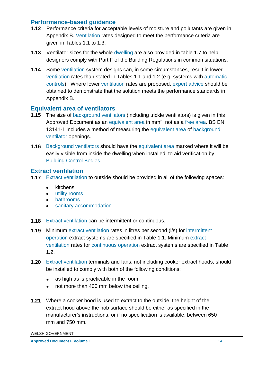## **Performance-based guidance**

- **1.12** Performance criteria for acceptable levels of moisture and pollutants are given in Appendix B. Ventilation rates designed to meet the performance criteria are given in Tables 1.1 to 1.3.
- **1.13** Ventilator sizes for the whole dwelling are also provided in table 1.7 to help designers comply with Part F of the Building Regulations in common situations.
- **1.14** Some ventilation system designs can, in some circumstances, result in lower ventilation rates than stated in Tables 1.1 and 1.2 (e.g. systems with automatic controls). Where lower ventilation rates are proposed, expert advice should be obtained to demonstrate that the solution meets the performance standards in Appendix B.

## **Equivalent area of ventilators**

- **1.15** The size of background ventilators (including trickle ventilators) is given in this Approved Document as an equivalent area in mm<sup>2</sup>, not as a free area. BS EN 13141-1 includes a method of measuring the equivalent area of background ventilator openings.
- **1.16** Background ventilators should have the equivalent area marked where it will be easily visible from inside the dwelling when installed, to aid verification by Building Control Bodies.

## **Extract ventilation**

- **1.17** Extract ventilation to outside should be provided in all of the following spaces:
	- kitchens
	- utility rooms
	- bathrooms
	- sanitary accommodation
- **1.18** Extract ventilation can be intermittent or continuous.
- **1.19** Minimum extract ventilation rates in litres per second (l/s) for intermittent operation extract systems are specified in Table 1.1. Minimum extract ventilation rates for continuous operation extract systems are specified in Table 1.2.
- **1.20** Extract ventilation terminals and fans, not including cooker extract hoods, should be installed to comply with both of the following conditions:
	- as high as is practicable in the room
	- not more than 400 mm below the ceiling.
- **1.21** Where a cooker hood is used to extract to the outside, the height of the extract hood above the hob surface should be either as specified in the manufacturer's instructions, or if no specification is available, between 650 mm and 750 mm.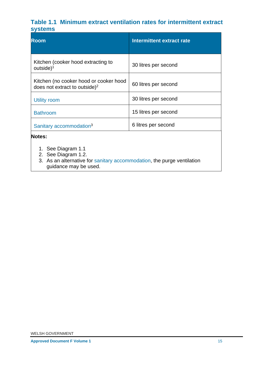# **Table 1.1 Minimum extract ventilation rates for intermittent extract systems**

| <b>Room</b>                                                                         | Intermittent extract rate |
|-------------------------------------------------------------------------------------|---------------------------|
| Kitchen (cooker hood extracting to<br>outside) <sup>1</sup>                         | 30 litres per second      |
| Kitchen (no cooker hood or cooker hood<br>does not extract to outside) <sup>2</sup> | 60 litres per second      |
| Utility room                                                                        | 30 litres per second      |
| <b>Bathroom</b>                                                                     | 15 litres per second      |
| Sanitary accommodation <sup>3</sup>                                                 | 6 litres per second       |
| Notes:                                                                              |                           |

- 1. See Diagram 1.1
- 2. See Diagram 1.2.
- 3. As an alternative for sanitary accommodation, the purge ventilation guidance may be used.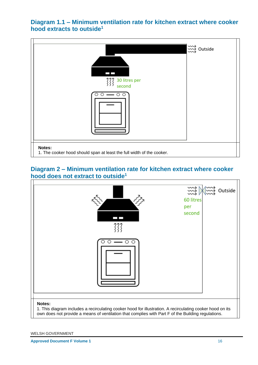**Diagram 1.1 – Minimum ventilation rate for kitchen extract where cooker hood extracts to outside<sup>1</sup>**



## **Diagram 2 – Minimum ventilation rate for kitchen extract where cooker hood does not extract to outside<sup>1</sup>**

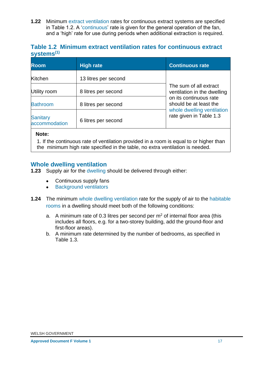**1.22** Minimum extract ventilation rates for continuous extract systems are specified in Table 1.2. A 'continuous' rate is given for the general operation of the fan, and a 'high' rate for use during periods when additional extraction is required.

## **Table 1.2 Minimum extract ventilation rates for continuous extract systems(1)**

| <b>Room</b>                      | <b>High rate</b>     | <b>Continuous rate</b>                                |
|----------------------------------|----------------------|-------------------------------------------------------|
| Kitchen                          | 13 litres per second |                                                       |
| Utility room                     | 8 litres per second  | The sum of all extract<br>ventilation in the dwelling |
| <b>Bathroom</b>                  | 8 litres per second  | on its continuous rate<br>should be at least the      |
| <b>Sanitary</b><br>accommodation | 6 litres per second  | whole dwelling ventilation<br>rate given in Table 1.3 |

#### **Note:**

1. If the continuous rate of ventilation provided in a room is equal to or higher than the minimum high rate specified in the table, no extra ventilation is needed.

## **Whole dwelling ventilation**

- **1.23** Supply air for the dwelling should be delivered through either:
	- Continuous supply fans
	- Background ventilators
- **1.24** The minimum whole dwelling ventilation rate for the supply of air to the habitable rooms in a dwelling should meet both of the following conditions:
	- a. A minimum rate of 0.3 litres per second per  $m<sup>2</sup>$  of internal floor area (this includes all floors, e.g. for a two-storey building, add the ground-floor and first-floor areas).
	- b. A minimum rate determined by the number of bedrooms, as specified in Table 1.3.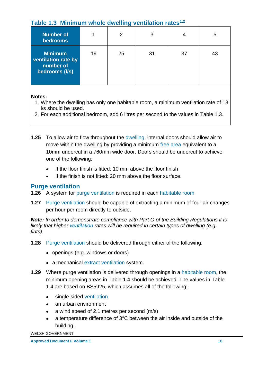# **Table 1.3 Minimum whole dwelling ventilation rates1,2**

| <b>Number of</b><br><b>bedrooms</b>                                  |    | $\overline{2}$ | 3  |    | 5  |
|----------------------------------------------------------------------|----|----------------|----|----|----|
| <b>Minimum</b><br>ventilation rate by<br>number of<br>bedrooms (I/s) | 19 | 25             | 31 | 37 | 43 |

#### **Notes:**

- 1. Where the dwelling has only one habitable room, a minimum ventilation rate of 13 l/s should be used.
- 2. For each additional bedroom, add 6 litres per second to the values in Table 1.3.
- **1.25** To allow air to flow throughout the dwelling, internal doors should allow air to move within the dwelling by providing a minimum free area equivalent to a 10mm undercut in a 760mm wide door. Doors should be undercut to achieve one of the following:
	- If the floor finish is fitted: 10 mm above the floor finish
	- If the finish is not fitted: 20 mm above the floor surface.

# **Purge ventilation**

- **1.26** A system for purge ventilation is required in each habitable room.
- **1.27** Purge ventilation should be capable of extracting a minimum of four air changes per hour per room directly to outside.

*Note: In order to demonstrate compliance with Part O of the Building Regulations it is likely that higher ventilation rates will be required in certain types of dwelling (e.g. flats).* 

- **1.28** Purge ventilation should be delivered through either of the following:
	- openings (e.g. windows or doors)
	- a mechanical extract ventilation system.
- **1.29** Where purge ventilation is delivered through openings in a habitable room, the minimum opening areas in Table 1.4 should be achieved. The values in Table 1.4 are based on BS5925, which assumes all of the following:
	- single-sided ventilation
	- an urban environment
	- a wind speed of 2.1 metres per second (m/s)
	- a temperature difference of 3°C between the air inside and outside of the building.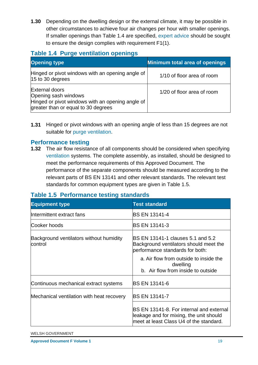**1.30** Depending on the dwelling design or the external climate, it may be possible in other circumstances to achieve four air changes per hour with smaller openings. If smaller openings than Table 1.4 are specified, expert advice should be sought to ensure the design complies with requirement F1(1).

# **Table 1.4 Purge ventilation openings**

| <b>Opening type</b>                                                                                                                      | <b>Minimum total area of openings</b> |
|------------------------------------------------------------------------------------------------------------------------------------------|---------------------------------------|
| Hinged or pivot windows with an opening angle of<br>15 to 30 degrees                                                                     | 1/10 of floor area of room            |
| <b>External doors</b><br>Opening sash windows<br>Hinged or pivot windows with an opening angle of<br>greater than or equal to 30 degrees | 1/20 of floor area of room            |

**1.31** Hinged or pivot windows with an opening angle of less than 15 degrees are not suitable for purge ventilation.

## **Performance testing**

**1.32** The air flow resistance of all components should be considered when specifying ventilation systems. The complete assembly, as installed, should be designed to meet the performance requirements of this Approved Document. The performance of the separate components should be measured according to the relevant parts of BS EN 13141 and other relevant standards. The relevant test standards for common equipment types are given in Table 1.5.

# **Table 1.5 Performance testing standards**

| <b>Equipment type</b>                              | <b>Test standard</b>                                                                                                           |
|----------------------------------------------------|--------------------------------------------------------------------------------------------------------------------------------|
| Intermittent extract fans                          | <b>BS EN 13141-4</b>                                                                                                           |
| Cooker hoods                                       | <b>BS EN 13141-3</b>                                                                                                           |
| Background ventilators without humidity<br>control | <b>BS EN 13141-1 clauses 5.1 and 5.2</b><br>Background ventilators should meet the<br>performance standards for both:          |
|                                                    | a. Air flow from outside to inside the<br>dwelling<br>b. Air flow from inside to outside                                       |
| Continuous mechanical extract systems              | <b>IBS EN 13141-6</b>                                                                                                          |
| Mechanical ventilation with heat recovery          | <b>BS EN 13141-7</b>                                                                                                           |
|                                                    | BS EN 13141-8. For internal and external<br>leakage and for mixing, the unit should<br>meet at least Class U4 of the standard. |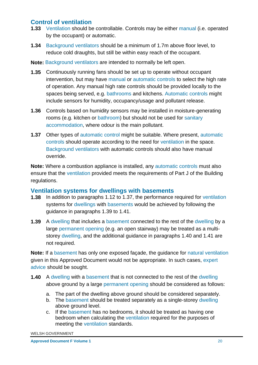# **Control of ventilation**

- **1.33** Ventilation should be controllable. Controls may be either manual (i.e. operated by the occupant) or automatic.
- **1.34** Background ventilators should be a minimum of 1.7m above floor level, to reduce cold draughts, but still be within easy reach of the occupant.

**Note:** Background ventilators are intended to normally be left open.

- **1.35** Continuously running fans should be set up to operate without occupant intervention, but may have manual or automatic controls to select the high rate of operation. Any manual high rate controls should be provided locally to the spaces being served, e.g. bathrooms and kitchens. Automatic controls might include sensors for humidity, occupancy/usage and pollutant release.
- **1.36** Controls based on humidity sensors may be installed in moisture-generating rooms (e.g. kitchen or bathroom) but should not be used for sanitary accommodation, where odour is the main pollutant.
- **1.37** Other types of automatic control might be suitable. Where present, automatic controls should operate according to the need for ventilation in the space. Background ventilators with automatic controls should also have manual override.

**Note:** Where a combustion appliance is installed, any automatic controls must also ensure that the ventilation provided meets the requirements of Part J of the Building regulations.

#### **Ventilation systems for dwellings with basements**

- **1.38** In addition to paragraphs 1.12 to 1.37, the performance required for ventilation systems for dwellings with basements would be achieved by following the guidance in paragraphs 1.39 to 1.41.
- **1.39** A dwelling that includes a basement connected to the rest of the dwelling by a large permanent opening (e.g. an open stairway) may be treated as a multistorey dwelling, and the additional guidance in paragraphs 1.40 and 1.41 are not required.

**Note:** If a basement has only one exposed façade, the guidance for natural ventilation given in this Approved Document would not be appropriate. In such cases, expert advice should be sought.

- **1.40** A dwelling with a basement that is not connected to the rest of the dwelling above ground by a large permanent opening should be considered as follows:
	- a. The part of the dwelling above ground should be considered separately.
	- b. The basement should be treated separately as a single-storey dwelling above ground level.
	- c. If the basement has no bedrooms, it should be treated as having one bedroom when calculating the ventilation required for the purposes of meeting the ventilation standards.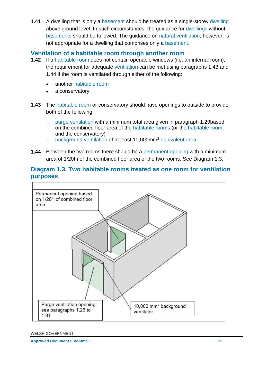**1.41** A dwelling that is only a basement should be treated as a single-storey dwelling above ground level. In such circumstances, the guidance for dwellings without basements should be followed. The guidance on natural ventilation, however, is not appropriate for a dwelling that comprises only a basement.

#### **Ventilation of a habitable room through another room**

- **1.42** If a habitable room does not contain openable windows (i.e. an internal room), the requirement for adequate ventilation can be met using paragraphs 1.43 and 1.44 if the room is ventilated through either of the following:
	- another habitable room
	- a conservatory
- **1.43** The habitable room or conservatory should have openings to outside to provide both of the following:
	- i. purge ventilation with a minimum total area given in paragraph 1.29based on the combined floor area of the habitable rooms (or the habitable room and the conservatory)
	- ii. background ventilation of at least 10,000mm<sup>2</sup> equivalent area
- **1.44** Between the two rooms there should be a permanent opening with a minimum area of 1/20th of the combined floor area of the two rooms. See Diagram 1.3.

# **Diagram 1.3. Two habitable rooms treated as one room for ventilation purposes**

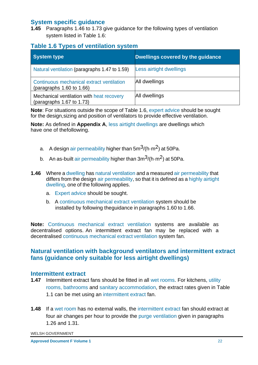## **System specific guidance**

**1.45** Paragraphs 1.46 to 1.73 give guidance for the following types of ventilation system listed in Table 1.6:

## **Table 1.6 Types of ventilation system**

| System type                                                                 | Dwellings covered by the guidance |
|-----------------------------------------------------------------------------|-----------------------------------|
| Natural ventilation (paragraphs 1.47 to 1.59)                               | Less airtight dwellings           |
| Continuous mechanical extract ventilation<br>(paragraphs $1.60$ to $1.66$ ) | All dwellings                     |
| Mechanical ventilation with heat recovery<br>(paragraphs $1.67$ to $1.73$ ) | All dwellings                     |

**Note**: For situations outside the scope of Table 1.6, expert advice should be sought for the design,sizing and position of ventilators to provide effective ventilation.

**Note:** As defined in **Appendix A**, less airtight dwellings are dwellings which have one of thefollowing.

- a. A design air permeability higher than  $5m^3$ /(h $\cdot$ m<sup>2</sup>) at 50Pa.
- b. An as-built air permeability higher than  $3m^3/(h \cdot m^2)$  at 50Pa.
- **1.46** Where a dwelling has natural ventilation and a measured air permeability that differs from the design air permeability, so that it is defined as a highly airtight dwelling, one of the following applies.
	- a. Expert advice should be sought.
	- b. A continuous mechanical extract ventilation system should be installed by following theguidance in paragraphs 1.60 to 1.66.

**Note:** Continuous mechanical extract ventilation systems are available as decentralised options. An intermittent extract fan may be replaced with a decentralised continuous mechanical extract ventilation system fan.

## **Natural ventilation with background ventilators and intermittent extract fans (guidance only suitable for less airtight dwellings)**

#### **Intermittent extract**

- **1.47** Intermittent extract fans should be fitted in all wet rooms. For kitchens, utility rooms, bathrooms and sanitary accommodation, the extract rates given in Table 1.1 can be met using an intermittent extract fan.
- **1.48** If a wet room has no external walls, the intermittent extract fan should extract at four air changes per hour to provide the purge ventilation given in paragraphs 1.26 and 1.31.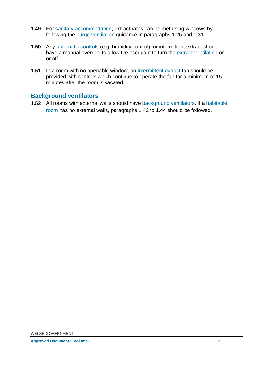- **1.49** For sanitary accommodation, extract rates can be met using windows by following the purge ventilation guidance in paragraphs 1.26 and 1.31.
- **1.50** Any automatic controls (e.g. humidity control) for intermittent extract should have a manual override to allow the occupant to turn the extract ventilation on or off.
- **1.51** In a room with no openable window, an intermittent extract fan should be provided with controls which continue to operate the fan for a minimum of 15 minutes after the room is vacated.

## **Background ventilators**

**1.52** All rooms with external walls should have background ventilators. If a habitable room has no external walls, paragraphs 1.42 to 1.44 should be followed.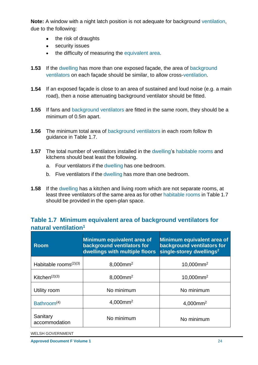**Note:** A window with a night latch position is not adequate for background ventilation, due to the following:

- the risk of draughts
- security issues
- the difficulty of measuring the equivalent area.
- **1.53** If the dwelling has more than one exposed façade, the area of background ventilators on each façade should be similar, to allow cross-ventilation.
- **1.54** If an exposed façade is close to an area of sustained and loud noise (e.g. a main road), then a noise attenuating background ventilator should be fitted.
- **1.55** If fans and background ventilators are fitted in the same room, they should be a minimum of 0.5m apart.
- **1.56** The minimum total area of background ventilators in each room follow th guidance in Table 1.7.
- **1.57** The total number of ventilators installed in the dwelling's habitable rooms and kitchens should beat least the following.
	- a. Four ventilators if the dwelling has one bedroom.
	- b. Five ventilators if the dwelling has more than one bedroom.
- **1.58** If the dwelling has a kitchen and living room which are not separate rooms, at least three ventilators of the same area as for other habitable rooms in Table 1.7 should be provided in the open-plan space.

## **Table 1.7 Minimum equivalent area of background ventilators for natural ventilation<sup>1</sup>**

| <b>Room</b>               | Minimum equivalent area of<br>background ventilators for<br>dwellings with multiple floors | Minimum equivalent area of<br>background ventilators for<br>single-storey dwellings <sup>2</sup> |
|---------------------------|--------------------------------------------------------------------------------------------|--------------------------------------------------------------------------------------------------|
| Habitable rooms $(2)(3)$  | $8,000$ mm <sup>2</sup>                                                                    | $10,000$ mm <sup>2</sup>                                                                         |
| Kitchen $(2)(3)$          | 8,000mm <sup>2</sup>                                                                       | $10,000$ mm <sup>2</sup>                                                                         |
| Utility room              | No minimum                                                                                 | No minimum                                                                                       |
| Bathroom <sup>(4)</sup>   | $4,000$ mm <sup>2</sup>                                                                    | $4,000$ mm <sup>2</sup>                                                                          |
| Sanitary<br>accommodation | No minimum                                                                                 | No minimum                                                                                       |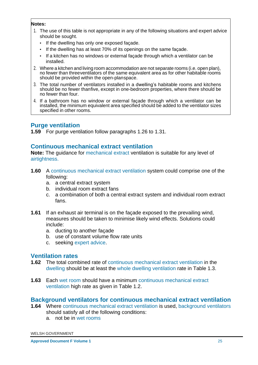#### **Notes:**

- 1. The use of this table is not appropriate in any of the following situations and expert advice should be sought.
	- If the dwelling has only one exposed façade.
	- If the dwelling has at least 70% of its openings on the same façade.
	- If a kitchen has no windows or external façade through which a ventilator can be installed.
- 2. Where a kitchen and living room accommodation are not separate rooms (i.e. open plan), no fewer than threeventilators of the same equivalent area as for other habitable rooms should be provided within the open-planspace.
- 3. The total number of ventilators installed in a dwelling's habitable rooms and kitchens should be no fewer thanfive, except in one-bedroom properties, where there should be no fewer than four.
- 4. If a bathroom has no window or external façade through which a ventilator can be installed, the minimum equivalent area specified should be added to the ventilator sizes specified in other rooms.

# **Purge ventilation**

**1.59** For purge ventilation follow paragraphs 1.26 to 1.31.

## **Continuous mechanical extract ventilation**

**Note:** The guidance for mechanical extract ventilation is suitable for any level of airtightness.

- **1.60** A continuous mechanical extract ventilation system could comprise one of the following:
	- a. a central extract system
	- b. individual room extract fans
	- c. a combination of both a central extract system and individual room extract fans.
- **1.61** If an exhaust air terminal is on the façade exposed to the prevailing wind, measures should be taken to minimise likely wind effects. Solutions could include:
	- a. ducting to another façade
	- b. use of constant volume flow rate units
	- c. seeking expert advice.

#### **Ventilation rates**

- **1.62** The total combined rate of continuous mechanical extract ventilation in the dwelling should be at least the whole dwelling ventilation rate in Table 1.3.
- **1.63** Each wet room should have a minimum continuous mechanical extract ventilation high rate as given in Table 1.2.

## **Background ventilators for continuous mechanical extract ventilation**

- **1.64** Where continuous mechanical extract ventilation is used, background ventilators should satisfy all of the following conditions:
	- a. not be in wet rooms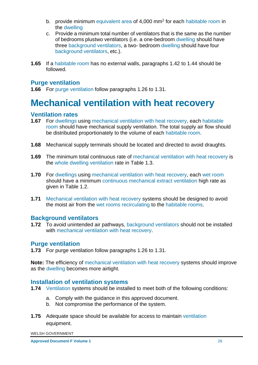- b. provide minimum equivalent area of 4,000 mm<sup>2</sup> for each habitable room in the dwelling
- c. Provide a minimum total number of ventilators that is the same as the number of bedrooms plustwo ventilators (i.e. a one-bedroom dwelling should have three background ventilators, a two- bedroom dwelling should have four background ventilators, etc.).
- **1.65** If a habitable room has no external walls, paragraphs 1.42 to 1.44 should be followed.

## **Purge ventilation**

<span id="page-28-0"></span>**1.66** For purge ventilation follow paragraphs 1.26 to 1.31.

# **Mechanical ventilation with heat recovery**

## **Ventilation rates**

- **1.67** For dwellings using mechanical ventilation with heat recovery, each habitable room should have mechanical supply ventilation. The total supply air flow should be distributed proportionately to the volume of each habitable room.
- **1.68** Mechanical supply terminals should be located and directed to avoid draughts.
- **1.69** The minimum total continuous rate of mechanical ventilation with heat recovery is the whole dwelling ventilation rate in Table 1.3.
- **1.70** For dwellings using mechanical ventilation with heat recovery, each wet room should have a minimum continuous mechanical extract ventilation high rate as given in Table 1.2.
- **1.71** Mechanical ventilation with heat recovery systems should be designed to avoid the moist air from the wet rooms recirculating to the habitable rooms.

## **Background ventilators**

**1.72** To avoid unintended air pathways, background ventilators should not be installed with mechanical ventilation with heat recovery.

#### **Purge ventilation**

**1.73** For purge ventilation follow paragraphs 1.26 to 1.31.

**Note:** The efficiency of mechanical ventilation with heat recovery systems should improve as the dwelling becomes more airtight.

#### **Installation of ventilation systems**

- **1.74** Ventilation systems should be installed to meet both of the following conditions:
	- a. Comply with the guidance in this approved document.
	- b. Not compromise the performance of the system.
- **1.75** Adequate space should be available for access to maintain ventilation equipment.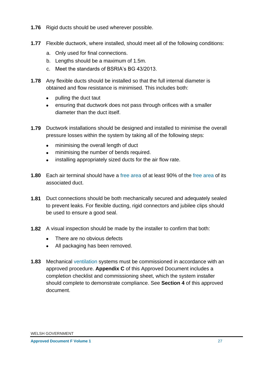- **1.76** Rigid ducts should be used wherever possible.
- **1.77** Flexible ductwork, where installed, should meet all of the following conditions:
	- a. Only used for final connections.
	- b. Lengths should be a maximum of 1.5m.
	- c. Meet the standards of BSRIA's BG 43/2013.
- **1.78** Any flexible ducts should be installed so that the full internal diameter is obtained and flow resistance is minimised. This includes both:
	- pulling the duct taut
	- ensuring that ductwork does not pass through orifices with a smaller diameter than the duct itself.
- **1.79** Ductwork installations should be designed and installed to minimise the overall pressure losses within the system by taking all of the following steps:
	- minimising the overall length of duct
	- minimising the number of bends required.
	- installing appropriately sized ducts for the air flow rate.
- **1.80** Each air terminal should have a free area of at least 90% of the free area of its associated duct.
- **1.81** Duct connections should be both mechanically secured and adequately sealed to prevent leaks. For flexible ducting, rigid connectors and jubilee clips should be used to ensure a good seal.
- **1.82** A visual inspection should be made by the installer to confirm that both:
	- There are no obvious defects
	- All packaging has been removed.
- **1.83** Mechanical ventilation systems must be commissioned in accordance with an approved procedure. **Appendix C** of this Approved Document includes a completion checklist and commissioning sheet, which the system installer should complete to demonstrate compliance. See **Section 4** of this approved document.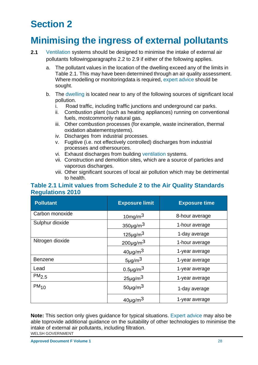# <span id="page-30-0"></span>**Section 2**

# <span id="page-30-1"></span>**Minimising the ingress of external pollutants**

- **2.1** Ventilation systems should be designed to minimise the intake of external air pollutants followingparagraphs 2.2 to 2.9 if either of the following applies.
	- a. The pollutant values in the location of the dwelling exceed any of the limits in Table 2.1. This may have been determined through an air quality assessment. Where modelling or monitoringdata is required, expert advice should be sought.
	- b. The dwelling is located near to any of the following sources of significant local pollution.
		- i. Road traffic, including traffic junctions and underground car parks.
		- ii. Combustion plant (such as heating appliances) running on conventional fuels, mostcommonly natural gas.
		- iii. Other combustion processes (for example, waste incineration, thermal oxidation abatementsystems).
		- iv. Discharges from industrial processes.
		- v. Fugitive (i.e. not effectively controlled) discharges from industrial processes and othersources.
		- vi. Exhaust discharges from building ventilation systems.
		- vii. Construction and demolition sites, which are a source of particles and vaporous discharges.
		- viii. Other significant sources of local air pollution which may be detrimental to health.

## **Table 2.1 Limit values from Schedule 2 to the Air Quality Standards Regulations 2010**

| <b>Pollutant</b>  | <b>Exposure limit</b>    | <b>Exposure time</b> |
|-------------------|--------------------------|----------------------|
| Carbon monoxide   | 10mg/m $3$               | 8-hour average       |
| Sulphur dioxide   | $350 \mu g/m3$           | 1-hour average       |
|                   | $125 \mu g/m3$           | 1-day average        |
| Nitrogen dioxide  | $200 \mu g/m3$           | 1-hour average       |
|                   | $40\mu g/m3$             | 1-year average       |
| <b>Benzene</b>    | $5 \mu g/m^3$            | 1-year average       |
| Lead              | $0.5 \mu g/m3$           | 1-year average       |
| PM <sub>2.5</sub> | $25 \mu g/m3$            | 1-year average       |
| $PM_{10}$         | $50 \mu g/m3$            | 1-day average        |
|                   | $40\mu$ g/m <sup>3</sup> | 1-year average       |

WELSH GOVERNMENT **Note:** This section only gives guidance for typical situations. Expert advice may also be able toprovide additional guidance on the suitability of other technologies to minimise the intake of external air pollutants, including filtration.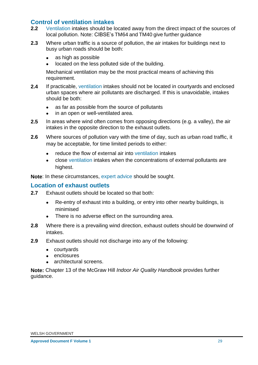## **Control of ventilation intakes**

- **2.2** Ventilation intakes should be located away from the direct impact of the sources of local pollution. Note: CIBSE's TM64 and TM40 give further guidance
- **2.3** Where urban traffic is a source of pollution, the air intakes for buildings next to busy urban roads should be both:
	- as high as possible
	- located on the less polluted side of the building.

Mechanical ventilation may be the most practical means of achieving this requirement.

- **2.4** If practicable, ventilation intakes should not be located in courtyards and enclosed urban spaces where air pollutants are discharged. If this is unavoidable, intakes should be both:
	- as far as possible from the source of pollutants
	- in an open or well-ventilated area.
- **2.5** In areas where wind often comes from opposing directions (e.g. a valley), the air intakes in the opposite direction to the exhaust outlets.
- **2.6** Where sources of pollution vary with the time of day, such as urban road traffic, it may be acceptable, for time limited periods to either:
	- reduce the flow of external air into ventilation intakes
	- close ventilation intakes when the concentrations of external pollutants are highest.

**Note**: In these circumstances, expert advice should be sought.

#### **Location of exhaust outlets**

- **2.7** Exhaust outlets should be located so that both:
	- Re-entry of exhaust into a building, or entry into other nearby buildings, is minimised
	- There is no adverse effect on the surrounding area.
- **2.8** Where there is a prevailing wind direction, exhaust outlets should be downwind of intakes.
- **2.9** Exhaust outlets should not discharge into any of the following:
	- courtyards
	- enclosures
	- architectural screens.

**Note:** Chapter 13 of the McGraw Hill *Indoor Air Quality Handbook* provides further guidance.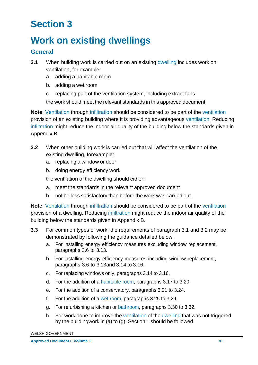# <span id="page-32-0"></span>**Section 3**

# <span id="page-32-1"></span>**Work on existing dwellings**

# **General**

- **3.1** When building work is carried out on an existing dwelling includes work on ventilation, for example:
	- a. adding a habitable room
	- b. adding a wet room
	- c. replacing part of the ventilation system, including extract fans

the work should meet the relevant standards in this approved document.

**Note**: Ventilation through infiltration should be considered to be part of the ventilation provision of an existing building where it is providing advantageous ventilation. Reducing infiltration might reduce the indoor air quality of the building below the standards given in Appendix B.

- **3.2** When other building work is carried out that will affect the ventilation of the existing dwelling, forexample:
	- a. replacing a window or door
	- b. doing energy efficiency work

the ventilation of the dwelling should either:

- a. meet the standards in the relevant approved document
- b. not be less satisfactory than before the work was carried out.

**Note**: Ventilation through infiltration should be considered to be part of the ventilation provision of a dwelling. Reducing infiltration might reduce the indoor air quality of the building below the standards given in Appendix B.

- **3.3** For common types of work, the requirements of paragraph 3.1 and 3.2 may be demonstrated by following the guidance detailed below.
	- a. For installing energy efficiency measures excluding window replacement, paragraphs 3.6 to 3.13.
	- b. For installing energy efficiency measures including window replacement, paragraphs 3.6 to 3.13and 3.14 to 3.16.
	- c. For replacing windows only, paragraphs 3.14 to 3.16.
	- d. For the addition of a habitable room, paragraphs 3.17 to 3.20.
	- e. For the addition of a conservatory, paragraphs 3.21 to 3.24.
	- f. For the addition of a wet room, paragraphs 3.25 to 3.29.
	- g. For refurbishing a kitchen or bathroom, paragraphs 3.30 to 3.32.
	- h. For work done to improve the ventilation of the dwelling that was not triggered by the buildingwork in (a) to (g), Section 1 should be followed.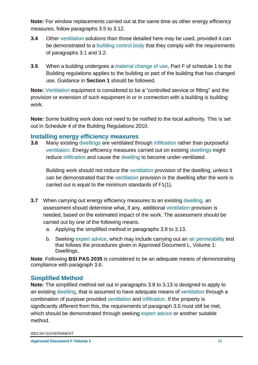**Note:** For window replacements carried out at the same time as other energy efficiency measures, follow paragraphs 3.5 to 3.12.

- **3.4** Other ventilation solutions than those detailed here may be used, provided it can be demonstrated to a building control body that they comply with the requirements of paragraphs 3.1 and 3.2.
- **3.5** When a building undergoes a material change of use, Part F of schedule 1 to the Building regulations applies to the building or part of the building that has changed use. Guidance in **Section 1** should be followed.

**Note:** Ventilation equipment is considered to be a "controlled service or fitting" and the provision or extension of such equipment in or in connection with a building is building work.

**Note:** Some building work does not need to be notified to the local authority. This is set out in Schedule 4 of the Building Regulations 2010.

#### **Installing energy efficiency measures**

**3.6** Many existing dwellings are ventilated through infiltration rather than purposeful ventilation. Energy efficiency measures carried out on existing dwellings might reduce infiltration and cause the dwelling to become under-ventilated.

Building work should not reduce the ventilation provision of the dwelling, unless it can be demonstrated that the ventilation provision in the dwelling after the work is carried out is equal to the minimum standards of F1(1).

- **3.7** When carrying out energy efficiency measures to an existing dwelling, an assessment should determine what, if any, additional ventilation provision is needed, based on the estimated impact of the work. The assessment should be carried out by one of the following means.
	- a. Applying the simplified method in paragraphs 3.8 to 3.13.
	- b. Seeking expert advice, which may include carrying out an air permeability test that follows the procedures given in Approved Document L, Volume 1: Dwellings.

**Note**: Following **BSI PAS 2035** is considered to be an adequate means of demonstrating compliance with paragraph 3.6.

# **Simplified Method**

**Note:** The simplified method set out in paragraphs 3.8 to 3.13 is designed to apply to an existing dwelling, that is assumed to have adequate means of ventilation through a combination of purpose provided ventilation and infiltration. If the property is significantly different from this, the requirements of paragraph 3.5 must still be met, which should be demonstrated through seeking expert advice or another suitable method.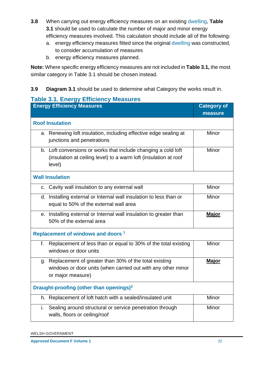- **3.8** When carrying out energy efficiency measures on an existing dwelling, **Table 3.1** should be used to calculate the number of major and minor energy efficiency measures involved. This calculation should include all of the following:
	- a. energy efficiency measures fitted since the original dwelling was constructed, to consider accumulation of measures
	- b. energy efficiency measures planned.

**Note:** Where specific energy efficiency measures are not included in **Table 3.1,** the most similar category in Table 3.1 should be chosen instead.

# **3.9 Diagram 3.1** should be used to determine what Category the works result in.

## **Table 3.1. Energy Efficiency Measures**

| <b>Energy Efficiency Measures</b>                                                                                                             | <b>Category of</b> |
|-----------------------------------------------------------------------------------------------------------------------------------------------|--------------------|
|                                                                                                                                               | measure            |
| <b>Roof Insulation</b>                                                                                                                        |                    |
| a. Renewing loft insulation, including effective edge sealing at<br>junctions and penetrations                                                | Minor              |
| b. Loft conversions or works that include changing a cold loft<br>(insulation at ceiling level) to a warm loft (insulation at roof<br>level)  | Minor              |
| <b>Wall Insulation</b>                                                                                                                        |                    |
| Cavity wall insulation to any external wall<br>C.                                                                                             | Minor              |
| d. Installing external or Internal wall insulation to less than or<br>equal to 50% of the external wall area                                  | Minor              |
| e. Installing external or Internal wall insulation to greater than<br>50% of the external area                                                | <b>Major</b>       |
| Replacement of windows and doors <sup>1</sup>                                                                                                 |                    |
| Replacement of less than or equal to 30% of the total existing<br>f.<br>windows or door units                                                 | Minor              |
| g. Replacement of greater than 30% of the total existing<br>windows or door units (when carried out with any other minor<br>or major measure) | <b>Major</b>       |
| Draught-proofing (other than openings) <sup>2</sup>                                                                                           |                    |
| h. Replacement of loft hatch with a sealed/insulated unit                                                                                     | Minor              |
| Sealing around structural or service penetration through<br>i.<br>walls, floors or ceiling/roof                                               | Minor              |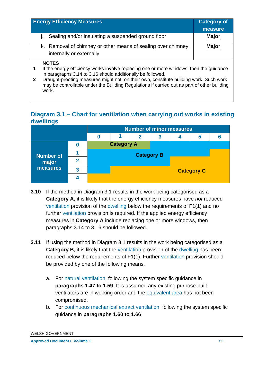|              | <b>Energy Efficiency Measures</b>                                                                                                                                                              | <b>Category of</b> |  |
|--------------|------------------------------------------------------------------------------------------------------------------------------------------------------------------------------------------------|--------------------|--|
|              |                                                                                                                                                                                                | measure            |  |
|              | Sealing and/or insulating a suspended ground floor                                                                                                                                             | <b>Major</b>       |  |
|              | k. Removal of chimney or other means of sealing over chimney,                                                                                                                                  | <b>Major</b>       |  |
|              | internally or externally                                                                                                                                                                       |                    |  |
|              | <b>NOTES</b>                                                                                                                                                                                   |                    |  |
| 1            | If the energy efficiency works involve replacing one or more windows, then the guidance<br>in paragraphs 3.14 to 3.16 should additionally be followed.                                         |                    |  |
| $\mathbf{2}$ | Draught-proofing measures might not, on their own, constitute building work. Such work<br>may be controllable under the Building Regulations if carried out as part of other building<br>work. |                    |  |

# **Diagram 3.1 – Chart for ventilation when carrying out works in existing dwellings**

|                  |  | <b>Number of minor measures</b> |                   |   |   |   |  |  |  |  |
|------------------|--|---------------------------------|-------------------|---|---|---|--|--|--|--|
|                  |  |                                 | $\mathbf{2}$      | 3 | 4 | 5 |  |  |  |  |
|                  |  |                                 | <b>Category A</b> |   |   |   |  |  |  |  |
| <b>Number of</b> |  | <b>Category B</b>               |                   |   |   |   |  |  |  |  |
| major            |  |                                 |                   |   |   |   |  |  |  |  |
| measures         |  | <b>Category C</b>               |                   |   |   |   |  |  |  |  |
|                  |  |                                 |                   |   |   |   |  |  |  |  |

- **3.10** If the method in Diagram 3.1 results in the work being categorised as a **Category A,** it is likely that the energy efficiency measures have *not* reduced ventilation provision of the dwelling below the requirements of F1(1) and no further ventilation provision is required. If the applied energy efficiency measures in **Category A** include replacing one or more windows, then paragraphs 3.14 to 3.16 should be followed.
- **3.11** If using the method in Diagram 3.1 results in the work being categorised as a **Category B,** it is likely that the ventilation provision of the dwelling has been reduced below the requirements of F1(1). Further ventilation provision should be provided by one of the following means.
	- a. For natural ventilation, following the system specific guidance in **paragraphs 1.47 to 1.59**. It is assumed any existing purpose-built ventilators are in working order and the equivalent area has not been compromised.
	- b. For continuous mechanical extract ventilation, following the system specific guidance in **paragraphs 1.60 to 1.66**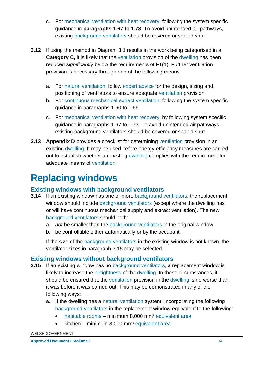- c. For mechanical ventilation with heat recovery, following the system specific guidance in **paragraphs 1.67 to 1.73**. To avoid unintended air pathways, existing background ventilators should be covered or sealed shut.
- **3.12** If using the method in Diagram 3.1 results in the work being categorised in a **Category C,** it is likely that the ventilation provision of the dwelling has been reduced *significantly* below the requirements of F1(1). Further ventilation provision is necessary through one of the following means.
	- a. For natural ventilation, follow expert advice for the design, sizing and positioning of ventilators to ensure adequate ventilation provision.
	- b. For continuous mechanical extract ventilation, following the system specific guidance in paragraphs 1.60 to 1.66
	- c. For mechanical ventilation with heat recovery, by following system specific guidance in paragraphs 1.67 to 1.73. To avoid unintended air pathways, existing background ventilators should be covered or sealed shut.
- **3.13 Appendix D** provides a checklist for determining ventilation provision in an existing dwelling. It may be used before energy efficiency measures are carried out to establish whether an existing dwelling complies with the requirement for adequate means of ventilation.

# <span id="page-36-0"></span>**Replacing windows**

# **Existing windows with background ventilators**

- **3.14** If an existing window has one or more background ventilators, the replacement window should include background ventilators (except where the dwelling has or will have continuous mechanical supply and extract ventilation). The new background ventilators should both:
	- a. *not* be smaller than the background ventilators in the original window
	- b. be controllable either automatically or by the occupant.

If the size of the background ventilators in the existing window is not known, the ventilator sizes in paragraph 3.15 may be selected.

# **Existing windows without background ventilators**

- **3.15** If an existing window has no background ventilators, a replacement window is likely to increase the airtightness of the dwelling. In these circumstances, it should be ensured that the ventilation provision in the dwelling is no worse than it was before it was carried out. This may be demonstrated in any of the following ways:
	- a. If the dwelling has a natural ventilation system, Incorporating the following background ventilators in the replacement window equivalent to the following:
		- habitable rooms minimum 8,000 mm<sup>2</sup> equivalent area
		- kitchen minimum 8,000 mm<sup>2</sup> equivalent area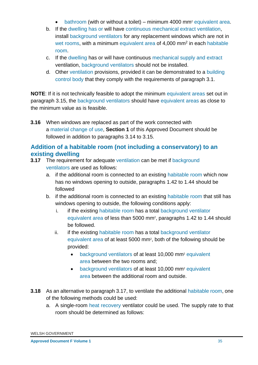- bathroom (with or without a toilet) minimum 4000 mm<sup>2</sup> equivalent area.
- b. If the dwelling has or will have continuous mechanical extract ventilation, install background ventilators for any replacement windows which are not in wet rooms, with a minimum equivalent area of 4,000 mm<sup>2</sup> in each habitable room.
- c. If the dwelling has or will have continuous mechanical supply and extract ventilation, background ventilators should not be installed.
- d. Other ventilation provisions, provided it can be demonstrated to a building control body that they comply with the requirements of paragraph 3.1.

**NOTE**: If it is not technically feasible to adopt the minimum equivalent areas set out in paragraph 3.15, the background ventilators should have equivalent areas as close to the minimum value as is feasible.

**3.16** When windows are replaced as part of the work connected with a material change of use, **Section 1** of this Approved Document should be followed in addition to paragraphs 3.14 to 3.15.

# **Addition of a habitable room (not including a conservatory) to an existing dwelling**

- **3.17** The requirement for adequate ventilation can be met if background ventilators are used as follows:
	- a. if the additional room is connected to an existing habitable room which now has no windows opening to outside, paragraphs 1.42 to 1.44 should be followed
	- b. if the additional room is connected to an existing habitable room that still has windows opening to outside, the following conditions apply:
		- i. if the existing habitable room has a total background ventilator equivalent area of less than 5000 mm<sup>2</sup>, paragraphs 1.42 to 1.44 should be followed.
		- ii. if the existing habitable room has a total background ventilator equivalent area of at least 5000 mm<sup>2</sup>, both of the following should be provided:
			- background ventilators of at least 10,000 mm<sup>2</sup> equivalent area between the two rooms and;
			- background ventilators of at least 10,000 mm<sup>2</sup> equivalent area between the additional room and outside.
- **3.18** As an alternative to paragraph 3.17, to ventilate the additional habitable room, one of the following methods could be used:
	- a. A single-room heat recovery ventilator could be used. The supply rate to that room should be determined as follows: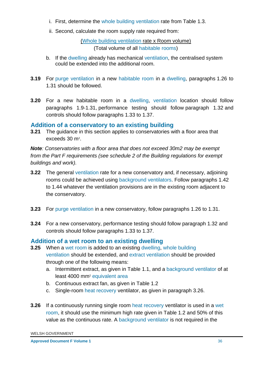- i. First, determine the whole building ventilation rate from Table 1.3.
- ii. Second, calculate the room supply rate required from:

(Whole building ventilation rate x Room volume)

(Total volume of all habitable rooms)

- b. If the dwelling already has mechanical ventilation, the centralised system could be extended into the additional room.
- **3.19** For purge ventilation in a new habitable room in a dwelling, paragraphs 1.26 to 1.31 should be followed.
- **3.20** For a new habitable room in a dwelling, ventilation location should follow paragraphs 1.9-1.31, performance testing should follow paragraph 1.32 and controls should follow paragraphs 1.33 to 1.37.

## **Addition of a conservatory to an existing building**

**3.21** The guidance in this section applies to conservatories with a floor area that exceeds  $30 \text{ m}^2$ .

*Note: Conservatories with a floor area that does not exceed 30m2 may be exempt from the Part F requirements (see schedule 2 of the Building regulations for exempt buildings and work).* 

- **3.22** The general ventilation rate for a new conservatory and, if necessary, adjoining rooms could be achieved using background ventilators. Follow paragraphs 1.42 to 1.44 whatever the ventilation provisions are in the existing room adjacent to the conservatory.
- **3.23** For purge ventilation in a new conservatory, follow paragraphs 1.26 to 1.31.
- **3.24** For a new conservatory, performance testing should follow paragraph 1.32 and controls should follow paragraphs 1.33 to 1.37.

# **Addition of a wet room to an existing dwelling**

- **3.25** When a wet room is added to an existing dwelling, whole building ventilation should be extended, and extract ventilation should be provided through one of the following means:
	- a. Intermittent extract, as given in Table 1.1, and a background ventilator of at least 4000 mm<sup>2</sup> equivalent area
	- b. Continuous extract fan, as given in Table 1.2
	- c. Single-room heat recovery ventilator, as given in paragraph 3.26.
- **3.26** If a continuously running single room heat recovery ventilator is used in a wet room, it should use the minimum high rate given in Table 1.2 and 50% of this value as the continuous rate. A background ventilator is not required in the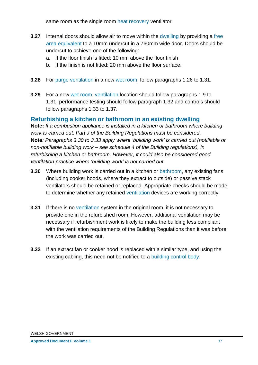same room as the single room heat recovery ventilator.

- **3.27** Internal doors should allow air to move within the dwelling by providing a free area equivalent to a 10mm undercut in a 760mm wide door. Doors should be undercut to achieve one of the following:
	- a. If the floor finish is fitted: 10 mm above the floor finish
	- b. If the finish is not fitted: 20 mm above the floor surface.
- **3.28** For purge ventilation in a new wet room, follow paragraphs 1.26 to 1.31.
- **3.29** For a new wet room, ventilation location should follow paragraphs 1.9 to 1.31, performance testing should follow paragraph 1.32 and controls should follow paragraphs 1.33 to 1.37.

## **Refurbishing a kitchen or bathroom in an existing dwelling**

**Note:** *If a combustion appliance is installed in a kitchen or bathroom where building work is carried out, Part J of the Building Regulations must be considered*. **Note***: Paragraphs 3.30 to 3.33 apply where 'building work' is carried out (notifiable or non-notifiable building work – see schedule 4 of the Building regulations), in refurbishing a kitchen or bathroom. However, it could also be considered good ventilation practice where 'building work' is not carried out.*

- **3.30** Where building work is carried out in a kitchen or bathroom, any existing fans (including cooker hoods, where they extract to outside) or passive stack ventilators should be retained or replaced. Appropriate checks should be made to determine whether any retained ventilation devices are working correctly.
- **3.31** If there is no ventilation system in the original room, it is not necessary to provide one in the refurbished room. However, additional ventilation may be necessary if refurbishment work is likely to make the building less compliant with the ventilation requirements of the Building Regulations than it was before the work was carried out.
- **3.32** If an extract fan or cooker hood is replaced with a similar type, and using the existing cabling, this need not be notified to a building control body.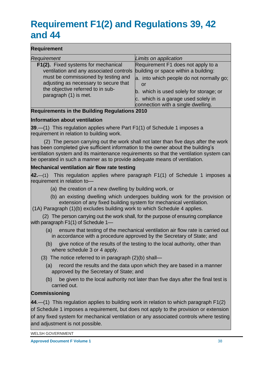# <span id="page-40-0"></span>**Requirement F1(2) and Regulations 39, 42 and 44**

#### **Requirement**

| Requirement                                                | Limits on application                    |
|------------------------------------------------------------|------------------------------------------|
| F1(2). Fixed systems for mechanical                        | Requirement F1 does not apply to a       |
| ventilation and any associated controls                    | building or space within a building:     |
| must be commissioned by testing and                        | a. into which people do not normally go; |
| adjusting as necessary to secure that                      | or                                       |
| the objective referred to in sub-<br>paragraph (1) is met. | b. which is used solely for storage; or  |
|                                                            | c. which is a garage used solely in      |
|                                                            | connection with a single dwelling.       |

#### **Requirements in the Building Regulations 2010**

#### **Information about ventilation**

**39**.—(1) This regulation applies where Part F1(1) of Schedule 1 imposes a requirement in relation to building work.

 (2) The person carrying out the work shall not later than five days after the work has been completed give sufficient information to the owner about the building's ventilation system and its maintenance requirements so that the ventilation system can be operated in such a manner as to provide adequate means of ventilation.

#### **Mechanical ventilation air flow rate testing**

**42.**—(1) This regulation applies where paragraph F1(1) of Schedule 1 imposes a requirement in relation to—

- (a) the creation of a new dwelling by building work, or
- (b) an existing dwelling which undergoes building work for the provision or extension of any fixed building system for mechanical ventilation.

(1A) Paragraph (1)(b) excludes building work to which Schedule 4 applies.

 (2) The person carrying out the work shall, for the purpose of ensuring compliance with paragraph F1(1) of Schedule 1—

- (a) ensure that testing of the mechanical ventilation air flow rate is carried out in accordance with a procedure approved by the Secretary of State; and
- (b) give notice of the results of the testing to the local authority, other than where schedule 3 or 4 apply.
- (3) The notice referred to in paragraph (2)(b) shall—
	- (a) record the results and the data upon which they are based in a manner approved by the Secretary of State; and
	- (b) be given to the local authority not later than five days after the final test is carried out.

#### **Commissioning**

**44**.—(1) This regulation applies to building work in relation to which paragraph F1(2) of Schedule 1 imposes a requirement, but does not apply to the provision or extension of any fixed system for mechanical ventilation or any associated controls where testing and adjustment is not possible.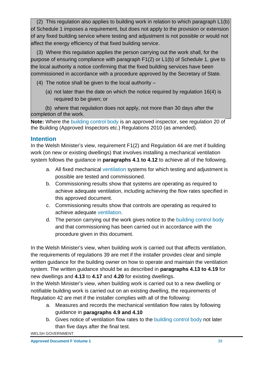(2) This regulation also applies to building work in relation to which paragraph L1(b) of Schedule 1 imposes a requirement, but does not apply to the provision or extension of any fixed building service where testing and adjustment is not possible or would not affect the energy efficiency of that fixed building service.

 (3) Where this regulation applies the person carrying out the work shall, for the purpose of ensuring compliance with paragraph F1(2) or L1(b) of Schedule 1, give to the local authority a notice confirming that the fixed building services have been commissioned in accordance with a procedure approved by the Secretary of State.

- (4) The notice shall be given to the local authority
	- (a) not later than the date on which the notice required by regulation 16(4) is required to be given; or

 (b) where that regulation does not apply, not more than 30 days after the completion of the work.

**Note:** Where the building control body is an approved inspector, see regulation 20 of the Building (Approved Inspectors etc.) Regulations 2010 (as amended).

# **Intention**

In the Welsh Minister's view, requirement F1(2) and Regulation 44 are met if building work (on new or existing dwellings) that involves installing a mechanical ventilation system follows the guidance in **paragraphs 4.1 to 4.12** to achieve all of the following.

- a. All fixed mechanical ventilation systems for which testing and adjustment is possible are tested and commissioned.
- b. Commissioning results show that systems are operating as required to achieve adequate ventilation, including achieving the flow rates specified in this approved document.
- c. Commissioning results show that controls are operating as required to achieve adequate ventilation.
- d. The person carrying out the work gives notice to the building control body and that commissioning has been carried out in accordance with the procedure given in this document.

In the Welsh Minister's view, when building work is carried out that affects ventilation, the requirements of regulations 39 are met if the installer provides clear and simple written guidance for the building owner on how to operate and maintain the ventilation system. The written guidance should be as described in **paragraphs 4.13 to 4.19** for new dwellings and **4.13** to **4.17** and **4.20** for existing dwellings.

In the Welsh Minister's view, when building work is carried out to a new dwelling or notifiable building work is carried out on an existing dwelling, the requirements of Regulation 42 are met if the installer complies with all of the following:

- a. Measures and records the mechanical ventilation flow rates by following guidance in **paragraphs 4.9 and 4.10**
- b. Gives notice of ventilation flow rates to the building control body not later than five days after the final test.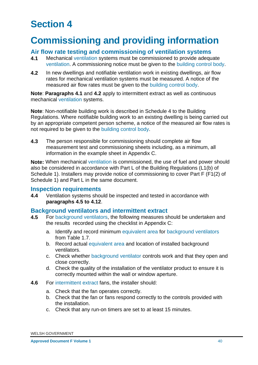# <span id="page-42-0"></span>**Section 4**

# <span id="page-42-1"></span>**Commissioning and providing information**

#### **Air flow rate testing and commissioning of ventilation systems**

- **4.1** Mechanical ventilation systems must be commissioned to provide adequate ventilation. A commissioning notice must be given to the building control body.
- **4.2** In new dwellings and notifiable ventilation work in existing dwellings, air flow rates for mechanical ventilation systems must be measured. A notice of the measured air flow rates must be given to the building control body.

**Note**: **Paragraphs 4.1** and **4.2** apply to intermittent extract as well as continuous mechanical ventilation systems.

**Note**: Non-notifiable building work is described in Schedule 4 to the Building Regulations. Where notifiable building work to an existing dwelling is being carried out by an appropriate competent person scheme, a notice of the measured air flow rates is not required to be given to the building control body.

**4.3** The person responsible for commissioning should complete air flow measurement test and commissioning sheets including, as a minimum, all information in the example sheet in Appendix C.

**Note:** When mechanical ventilation is commissioned, the use of fuel and power should also be considered in accordance with Part L of the Building Regulations (L1(b) of Schedule 1). Installers may provide notice of commissioning to cover Part F (F1(2) of Schedule 1) and Part L in the same document.

#### **Inspection requirements**

**4.4** Ventilation systems should be inspected and tested in accordance with **paragraphs 4.5 to 4.12**.

#### **Background ventilators and intermittent extract**

- **4.5** For background ventilators, the following measures should be undertaken and the results recorded using the checklist in Appendix C:
	- a. Identify and record minimum equivalent area for background ventilators from Table 1.7.
	- b. Record actual equivalent area and location of installed background ventilators.
	- c. Check whether background ventilator controls work and that they open and close correctly.
	- d. Check the quality of the installation of the ventilator product to ensure it is correctly mounted within the wall or window aperture.
- **4.6** For intermittent extract fans, the installer should:
	- a. Check that the fan operates correctly.
	- b. Check that the fan or fans respond correctly to the controls provided with the installation.
	- c. Check that any run-on timers are set to at least 15 minutes.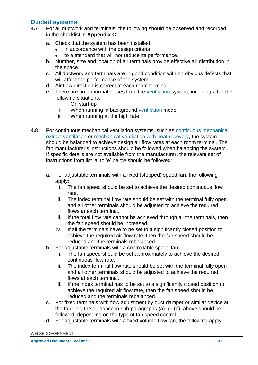# **Ducted systems**

- **4.7** For all ductwork and terminals, the following should be observed and recorded in the checklist in **Appendix C**:
	- a. Check that the system has been installed:
		- in accordance with the design criteria
		- to a standard that will not reduce its performance.
	- b. Number, size and location of air terminals provide effective air distribution in the space.
	- c. All ductwork and terminals are in good condition with no obvious defects that will affect the performance of the system.
	- d. Air flow direction is correct at each room terminal.
	- e. There are no abnormal noises from the ventilation system, including all of the following situations:
		- i. On start-up
		- ii. When running in background ventilation mode
		- iii. When running at the high rate.
- **4.8** For continuous mechanical ventilation systems, such as continuous mechanical extract ventilation or mechanical ventilation with heat recovery, the system should be balanced to achieve design air flow rates at each room terminal. The fan manufacturer's instructions should be followed when balancing the system. If specific details are not available from the manufacturer, the relevant set of instructions from list 'a' to 'e' below should be followed:
	- a. For adjustable terminals with a fixed (stepped) speed fan, the following apply:
		- i. The fan speed should be set to achieve the desired continuous flow rate.
		- ii. The index terminal flow rate should be set with the terminal fully open and all other terminals should be adjusted to achieve the required flows at each terminal.
		- iii. If the total flow rate cannot be achieved through all the terminals, then the fan speed should be increased.
		- iv. If all the terminals have to be set to a significantly closed position to achieve the required air flow rate, then the fan speed should be reduced and the terminals rebalanced.
	- b. For adjustable terminals with a controllable speed fan:
		- i. The fan speed should be set approximately to achieve the desired continuous flow rate.
		- ii. The index terminal flow rate should be set with the terminal fully open and all other terminals should be adjusted to achieve the required flows at each terminal.
		- iii. If the index terminal has to be set to a significantly closed position to achieve the required air flow rate, then the fan speed should be reduced and the terminals rebalanced.
	- c. For fixed terminals with flow adjustment by duct damper or similar device at the fan unit, the guidance in sub-paragraphs (a). or (b). above should be followed, depending on the type of fan speed control.
	- d. For adjustable terminals with a fixed volume flow fan, the following apply: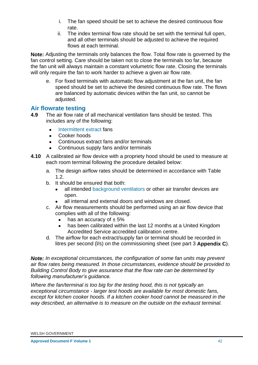- i. The fan speed should be set to achieve the desired continuous flow rate.
- ii. The index terminal flow rate should be set with the terminal full open, and all other terminals should be adjusted to achieve the required flows at each terminal.

**Note:** Adjusting the terminals only balances the flow. Total flow rate is governed by the fan control setting. Care should be taken not to close the terminals too far, because the fan unit will always maintain a constant volumetric flow rate. Closing the terminals will only require the fan to work harder to achieve a given air flow rate.

e. For fixed terminals with automatic flow adjustment at the fan unit, the fan speed should be set to achieve the desired continuous flow rate. The flows are balanced by automatic devices within the fan unit, so cannot be adjusted.

## **Air flowrate testing**

- **4.9** The air flow rate of all mechanical ventilation fans should be tested. This includes any of the following:
	- Intermittent extract fans
	- Cooker hoods
	- Continuous extract fans and/or terminals
	- Continuous supply fans and/or terminals
- **4.10** A calibrated air flow device with a propriety hood should be used to measure at each room terminal following the procedure detailed below:
	- a. The design airflow rates should be determined in accordance with Table 1.2.
	- b. It should be ensured that both:
		- all intended background ventilators or other air transfer devices are open.
		- all internal and external doors and windows are closed.
	- c. Air flow measurements should be performed using an air flow device that complies with all of the following:
		- $\bullet$  has an accuracy of  $\pm 5\%$
		- has been calibrated within the last 12 months at a United Kingdom Accredited Service accredited calibration centre.
	- d. The airflow for each extract/supply fan or terminal should be recorded in litres per second (l/s) on the commissioning sheet (see part 3 **Appendix C**).

*Note: In exceptional circumstances, the configuration of some fan units may prevent air flow rates being measured. In those circumstances, evidence should be provided to Building Control Body to give assurance that the flow rate can be determined by following manufacturer's guidance.*

*Where the fan/terminal is too big for the testing hood, this is not typically an exceptional circumstance - larger test hoods are available for most domestic fans, except for kitchen cooker hoods. If a kitchen cooker hood cannot be measured in the way described, an alternative is to measure on the outside on the exhaust terminal.*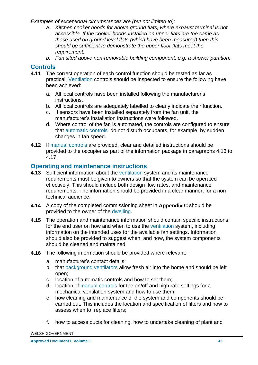*Examples of exceptional circumstances are (but not limited to):*

- *a. Kitchen cooker hoods for above ground flats, where exhaust terminal is not accessible. If the cooker hoods installed on upper flats are the same as those used on ground level flats (which have been measured) then this should be sufficient to demonstrate the upper floor flats meet the requirement.*
- *b. Fan sited above non-removable building component, e.g. a shower partition.*

## **Controls**

- **4.11** The correct operation of each control function should be tested as far as practical. Ventilation controls should be inspected to ensure the following have been achieved:
	- a. All local controls have been installed following the manufacturer's instructions.
	- b. All local controls are adequately labelled to clearly indicate their function.
	- c. If sensors have been installed separately from the fan unit, the manufacturer's installation instructions were followed.
	- d. Where control of the fan is automated, the controls are configured to ensure that automatic controls do not disturb occupants, for example, by sudden changes in fan speed.
- **4.12** If manual controls are provided, clear and detailed instructions should be provided to the occupier as part of the information package in paragraphs 4.13 to 4.17.

## **Operating and maintenance instructions**

- **4.13** Sufficient information about the ventilation system and its maintenance requirements must be given to owners so that the system can be operated effectively. This should include both design flow rates, and maintenance requirements. The information should be provided in a clear manner, for a nontechnical audience.
- **4.14** A copy of the completed commissioning sheet in **Appendix C** should be provided to the owner of the dwelling.
- **4.15** The operation and maintenance information should contain specific instructions for the end user on how and when to use the ventilation system, including information on the intended uses for the available fan settings. Information should also be provided to suggest when, and how, the system components should be cleaned and maintained.
- **4.16** The following information should be provided where relevant:
	- a. manufacturer's contact details;
	- b. that background ventilators allow fresh air into the home and should be left open;
	- c. location of automatic controls and how to set them;
	- d. location of manual controls for the on/off and high rate settings for a mechanical ventilation system and how to use them;
	- e. how cleaning and maintenance of the system and components should be carried out. This includes the location and specification of filters and how to assess when to replace filters;
	- f. how to access ducts for cleaning, how to undertake cleaning of plant and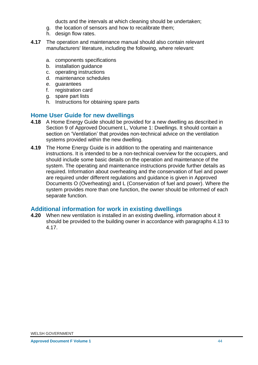ducts and the intervals at which cleaning should be undertaken;

- g. the location of sensors and how to recalibrate them;
- h. design flow rates.
- **4.17** The operation and maintenance manual should also contain relevant manufacturers' literature, including the following, where relevant:
	- a. components specifications
	- b. installation guidance
	- c. operating instructions
	- d. maintenance schedules
	- e. guarantees
	- f. registration card
	- g. spare part lists
	- h. Instructions for obtaining spare parts

#### **Home User Guide for new dwellings**

- **4.18** A Home Energy Guide should be provided for a new dwelling as described in Section 9 of Approved Document L, Volume 1: Dwellings. It should contain a section on 'Ventilation' that provides non-technical advice on the ventilation systems provided within the new dwelling.
- **4.19** The Home Energy Guide is in addition to the operating and maintenance instructions. It is intended to be a non-technical overview for the occupiers, and should include some basic details on the operation and maintenance of the system. The operating and maintenance instructions provide further details as required. Information about overheating and the conservation of fuel and power are required under different regulations and guidance is given in Approved Documents O (Overheating) and L (Conservation of fuel and power). Where the system provides more than one function, the owner should be informed of each separate function.

## **Additional information for work in existing dwellings**

**4.20** When new ventilation is installed in an existing dwelling, information about it should be provided to the building owner in accordance with paragraphs 4.13 to 4.17.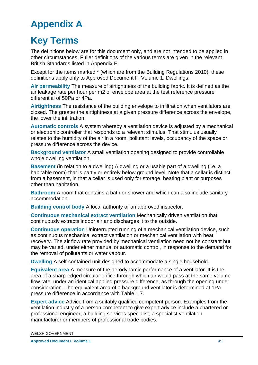# <span id="page-47-0"></span>**Appendix A**

# <span id="page-47-1"></span>**Key Terms**

The definitions below are for this document only, and are not intended to be applied in other circumstances. Fuller definitions of the various terms are given in the relevant British Standards listed in Appendix E.

Except for the items marked \* (which are from the Building Regulations 2010), these definitions apply only to Approved Document F, Volume 1: Dwellings.

**Air permeability** The measure of airtightness of the building fabric. It is defined as the air leakage rate per hour per m2 of envelope area at the test reference pressure differential of 50Pa or 4Pa.

**Airtightness** The resistance of the building envelope to infiltration when ventilators are closed. The greater the airtightness at a given pressure difference across the envelope, the lower the infiltration.

**Automatic controls** A system whereby a ventilation device is adjusted by a mechanical or electronic controller that responds to a relevant stimulus. That stimulus usually relates to the humidity of the air in a room, pollutant levels, occupancy of the space or pressure difference across the device.

**Background ventilator** A small ventilation opening designed to provide controllable whole dwelling ventilation.

**Basement** (in relation to a dwelling) A dwelling or a usable part of a dwelling (i.e. a habitable room) that is partly or entirely below ground level. Note that a cellar is distinct from a basement, in that a cellar is used only for storage, heating plant or purposes other than habitation.

**Bathroom** A room that contains a bath or shower and which can also include sanitary accommodation.

**Building control body** A local authority or an approved inspector.

**Continuous mechanical extract ventilation** Mechanically driven ventilation that continuously extracts indoor air and discharges it to the outside.

**Continuous operation** Uninterrupted running of a mechanical ventilation device, such as continuous mechanical extract ventilation or mechanical ventilation with heat recovery. The air flow rate provided by mechanical ventilation need not be constant but may be varied, under either manual or automatic control, in response to the demand for the removal of pollutants or water vapour.

**Dwelling** A self-contained unit designed to accommodate a single household.

**Equivalent area** A measure of the aerodynamic performance of a ventilator. It is the area of a sharp-edged circular orifice through which air would pass at the same volume flow rate, under an identical applied pressure difference, as through the opening under consideration. The equivalent area of a background ventilator is determined at 1Pa pressure difference in accordance with Table 1.7.

**Expert advice** Advice from a suitably qualified competent person. Examples from the ventilation industry of a person competent to give expert advice include a chartered or professional engineer, a building services specialist, a specialist ventilation manufacturer or members of professional trade bodies.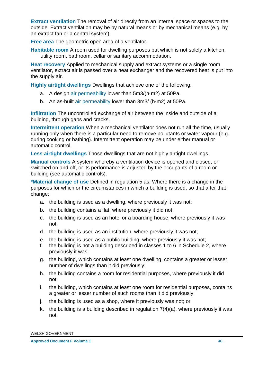**Extract ventilation** The removal of air directly from an internal space or spaces to the outside. Extract ventilation may be by natural means or by mechanical means (e.g. by an extract fan or a central system).

**Free area** The geometric open area of a ventilator.

**Habitable room** A room used for dwelling purposes but which is not solely a kitchen, utility room, bathroom, cellar or sanitary accommodation.

**Heat recovery** Applied to mechanical supply and extract systems or a single room ventilator, extract air is passed over a heat exchanger and the recovered heat is put into the supply air.

**Highly airtight dwellings** Dwellings that achieve one of the following.

- a. A design air permeability lower than 5m3/(h·m2) at 50Pa.
- b. An as-built air permeability lower than 3m3/ (h·m2) at 50Pa.

**Infiltration** The uncontrolled exchange of air between the inside and outside of a building, through gaps and cracks.

**Intermittent operation** When a mechanical ventilator does not run all the time, usually running only when there is a particular need to remove pollutants or water vapour (e.g. during cooking or bathing). Intermittent operation may be under either manual or automatic control.

**Less airtight dwellings** Those dwellings that are not highly airtight dwellings.

**Manual controls** A system whereby a ventilation device is opened and closed, or switched on and off, or its performance is adjusted by the occupants of a room or building (see automatic controls).

**\*Material change of use** Defined in regulation 5 as: Where there is a change in the purposes for which or the circumstances in which a building is used, so that after that change:

- a. the building is used as a dwelling, where previously it was not;
- b. the building contains a flat, where previously it did not;
- c. the building is used as an hotel or a boarding house, where previously it was not;
- d. the building is used as an institution, where previously it was not;
- e. the building is used as a public building, where previously it was not;
- f. the building is not a building described in classes 1 to 6 in Schedule 2, where previously it was;
- g. the building, which contains at least one dwelling, contains a greater or lesser number of dwellings than it did previously;
- h. the building contains a room for residential purposes, where previously it did not;
- i. the building, which contains at least one room for residential purposes, contains a greater or lesser number of such rooms than it did previously;
- j. the building is used as a shop, where it previously was not; or
- k. the building is a building described in regulation  $7(4)(a)$ , where previously it was not.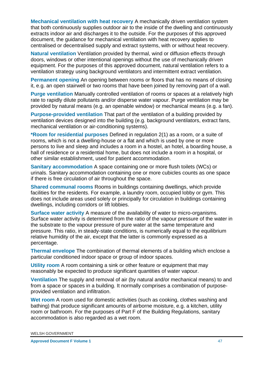**Mechanical ventilation with heat recovery** A mechanically driven ventilation system that both continuously supplies outdoor air to the inside of the dwelling and continuously extracts indoor air and discharges it to the outside. For the purposes of this approved document, the guidance for mechanical ventilation with heat recovery applies to centralised or decentralised supply and extract systems, with or without heat recovery.

**Natural ventilation** Ventilation provided by thermal, wind or diffusion effects through doors, windows or other intentional openings without the use of mechanically driven equipment. For the purposes of this approved document, natural ventilation refers to a ventilation strategy using background ventilators and intermittent extract ventilation.

**Permanent opening** An opening between rooms or floors that has no means of closing it, e.g. an open stairwell or two rooms that have been joined by removing part of a wall.

**Purge ventilation** Manually controlled ventilation of rooms or spaces at a relatively high rate to rapidly dilute pollutants and/or disperse water vapour. Purge ventilation may be provided by natural means (e.g. an openable window) or mechanical means (e.g. a fan).

**Purpose-provided ventilation** That part of the ventilation of a building provided by ventilation devices designed into the building (e.g. background ventilators, extract fans, mechanical ventilation or air-conditioning systems).

**\*Room for residential purposes** Defined in regulation 2(1) as a room, or a suite of rooms, which is not a dwelling-house or a flat and which is used by one or more persons to live and sleep and includes a room in a hostel, an hotel, a boarding house, a hall of residence or a residential home, but does not include a room in a hospital, or other similar establishment, used for patient accommodation.

**Sanitary accommodation** A space containing one or more flush toilets (WCs) or urinals. Sanitary accommodation containing one or more cubicles counts as one space if there is free circulation of air throughout the space.

**Shared communal rooms** Rooms in buildings containing dwellings, which provide facilities for the residents. For example, a laundry room, occupied lobby or gym. This does not include areas used solely or principally for circulation in buildings containing dwellings, including corridors or lift lobbies.

**Surface water activity** A measure of the availability of water to micro-organisms. Surface water activity is determined from the ratio of the vapour pressure of the water in the substrate to the vapour pressure of pure water at the same temperature and pressure. This ratio, in steady-state conditions, is numerically equal to the equilibrium relative humidity of the air, except that the latter is commonly expressed as a percentage.

**Thermal envelope** The combination of thermal elements of a building which enclose a particular conditioned indoor space or group of indoor spaces.

**Utility room** A room containing a sink or other feature or equipment that may reasonably be expected to produce significant quantities of water vapour.

**Ventilation** The supply and removal of air (by natural and/or mechanical means) to and from a space or spaces in a building. It normally comprises a combination of purposeprovided ventilation and infiltration.

**Wet room** A room used for domestic activities (such as cooking, clothes washing and bathing) that produce significant amounts of airborne moisture, e.g. a kitchen, utility room or bathroom. For the purposes of Part F of the Building Regulations, sanitary accommodation is also regarded as a wet room.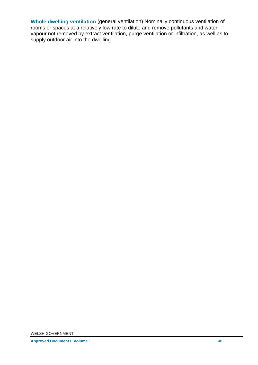**Whole dwelling ventilation** (general ventilation) Nominally continuous ventilation of rooms or spaces at a relatively low rate to dilute and remove pollutants and water vapour not removed by extract ventilation, purge ventilation or infiltration, as well as to supply outdoor air into the dwelling.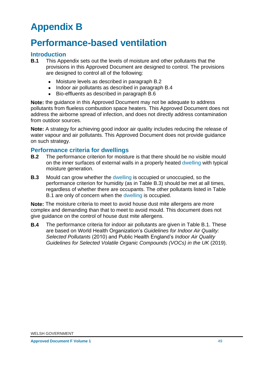# <span id="page-51-0"></span>**Appendix B**

# <span id="page-51-1"></span>**Performance-based ventilation**

#### **Introduction**

- **B.1** This Appendix sets out the levels of moisture and other pollutants that the provisions in this Approved Document are designed to control. The provisions are designed to control all of the following:
	- Moisture levels as described in paragraph B.2
	- Indoor air pollutants as described in paragraph B.4
	- Bio-effluents as described in paragraph B.6

**Note:** the guidance in this Approved Document may not be adequate to address pollutants from flueless combustion space heaters. This Approved Document does not address the airborne spread of infection, and does not directly address contamination from outdoor sources.

**Note:** A strategy for achieving good indoor air quality includes reducing the release of water vapour and air pollutants. This Approved Document does not provide guidance on such strategy.

#### **Performance criteria for dwellings**

- **B.2** The performance criterion for moisture is that there should be no visible mould on the inner surfaces of external walls in a properly heated dwelling with typical moisture generation.
- **B.3** Mould can grow whether the dwelling is occupied or unoccupied, so the performance criterion for humidity (as in Table B.3) should be met at all times, regardless of whether there are occupants. The other pollutants listed in Table B.1 are only of concern when the dwelling is occupied.

**Note:** The moisture criteria to meet to avoid house dust mite allergens are more complex and demanding than that to meet to avoid mould. This document does not give guidance on the control of house dust mite allergens.

**B.4** The performance criteria for indoor air pollutants are given in Table B.1. These are based on World Health Organization's *Guidelines for Indoor Air Quality: Selected Pollutants* (2010) and Public Health England's *Indoor Air Quality Guidelines for Selected Volatile Organic Compounds (VOCs) in the UK* (2019).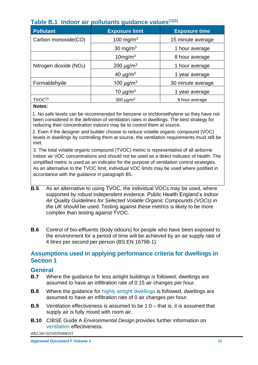| $\frac{1}{2}$            |                            |                      |  |  |  |
|--------------------------|----------------------------|----------------------|--|--|--|
| <b>Pollutant</b>         | <b>Exposure limit</b>      | <b>Exposure time</b> |  |  |  |
| Carbon monoxide(CO)      | 100 mg/m <sup>3</sup>      | 15 minute average    |  |  |  |
|                          | 30 mg/m <sup>3</sup>       | 1 hour average       |  |  |  |
|                          | $10$ mg/m $3$              | 8 hour average       |  |  |  |
| Nitrogen dioxide $(NO2)$ | 200 $\mu$ g/m <sup>3</sup> | 1 hour average       |  |  |  |
|                          | 40 $\mu$ g/m <sup>3</sup>  | year average         |  |  |  |
| Formaldehyde             | 100 $\mu$ g/m <sup>3</sup> | 30 minute average    |  |  |  |
|                          | 10 $\mu$ g/m <sup>3</sup>  | year average         |  |  |  |
| $TVOC^{(3)}$             | 300 $\mu$ g/m <sup>3</sup> | 8 hour average       |  |  |  |

# **Table B.1 Indoor air pollutants guidance values(1)(2)**

#### **Notes:**

1. 1. No safe levels can be recommended for benzene or trichloroethylene so they have not been considered in the definition of ventilation rates in dwellings. The best strategy for reducing their concentration indoors may be to control them at source.

2. 2. Even if the designer and builder choose to reduce volatile organic compound (VOC) levels in dwellings by controlling them at source, the ventilation requirements must still be met.

3. The total volatile organic compound (TVOC) metric is representative of all airborne indoor air VOC concentrations and should not be used as a direct indicator of health. The simplified metric is used as an indicator for the purpose of ventilation control strategies. As an alternative to the TVOC limit, individual VOC limits may be used where justified in accordance with the guidance in paragraph B5.

- **B.5** As an alternative to using TVOC, the individual VOCs may be used, where supported by robust independent evidence. Public Health England's *Indoor Air Quality Guidelines for Selected Volatile Organic Compounds (VOCs) in the UK* should be used. Testing against these metrics is likely to be more complex than testing against TVOC.
- **B.6** Control of bio-effluents (body odours) for people who have been exposed to the environment for a period of time will be achieved by an air supply rate of 4 litres per second per person (BS EN 16798-1).

#### <span id="page-52-0"></span>**Assumptions used in applying performance criteria for dwellings in Section 1**

#### **General**

- **B.7** Where the guidance for less airtight buildings is followed, dwellings are assumed to have an infiltration rate of 0.15 air changes per hour.
- **B.8** Where the guidance for highly airtight dwellings is followed, dwellings are assumed to have an infiltration rate of 0 air changes per hour.
- **B.9** Ventilation effectiveness is assumed to be 1.0 that is, it is assumed that supply air is fully mixed with room air.
- **B.10** CIBSE Guide A *Environmental Design* provides further information on ventilation effectiveness.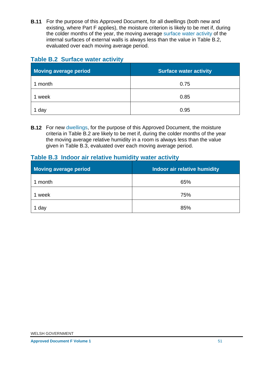**B.11** For the purpose of this Approved Document, for all dwellings (both new and existing, where Part F applies), the moisture criterion is likely to be met if, during the colder months of the year, the moving average surface water activity of the internal surfaces of external walls is always less than the value in Table B.2, evaluated over each moving average period.

# **Table B.2 Surface water activity**

| Moving average period | <b>Surface water activity</b> |
|-----------------------|-------------------------------|
| month                 | 0.75                          |
| week                  | 0.85                          |
| day                   | 0.95                          |

**B.12** For new dwellings, for the purpose of this Approved Document, the moisture criteria in Table B.2 are likely to be met if, during the colder months of the year the moving average relative humidity in a room is always less than the value given in Table B.3, evaluated over each moving average period.

# **Table B.3 Indoor air relative humidity water activity**

| Moving average period | Indoor air relative humidity |
|-----------------------|------------------------------|
| month                 | 65%                          |
| week                  | 75%                          |
| da                    | 85%                          |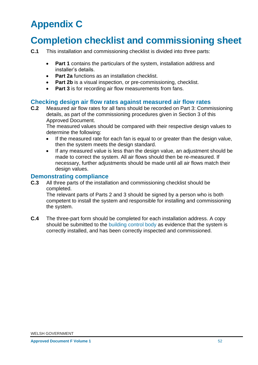# <span id="page-54-0"></span>**Appendix C**

# <span id="page-54-1"></span>**Completion checklist and commissioning sheet**

- **C.1** This installation and commissioning checklist is divided into three parts:
	- **Part 1** contains the particulars of the system, installation address and installer's details.
	- **Part 2a** functions as an installation checklist.
	- **Part 2b** is a visual inspection, or pre-commissioning, checklist.
	- **Part 3** is for recording air flow measurements from fans.

#### **Checking design air flow rates against measured air flow rates**

**C.2** Measured air flow rates for all fans should be recorded on Part 3: Commissioning details, as part of the commissioning procedures given in Section 3 of this Approved Document.

The measured values should be compared with their respective design values to determine the following:

- If the measured rate for each fan is equal to or greater than the design value, then the system meets the design standard.
- If any measured value is less than the design value, an adjustment should be made to correct the system. All air flows should then be re-measured. If necessary, further adjustments should be made until all air flows match their design values.

#### **Demonstrating compliance**

**C.3** All three parts of the installation and commissioning checklist should be completed.

The relevant parts of Parts 2 and 3 should be signed by a person who is both competent to install the system and responsible for installing and commissioning the system.

**C.4** The three-part form should be completed for each installation address. A copy should be submitted to the building control body as evidence that the system is correctly installed, and has been correctly inspected and commissioned.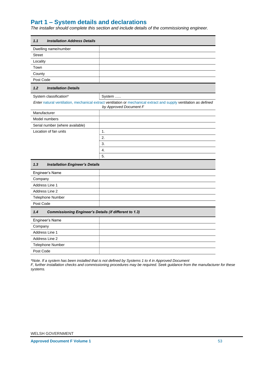## **Part 1 – System details and declarations**

*The installer should complete this section and include details of the commissioning engineer.*

| 1.1<br><b>Installation Address Details</b>                           |                                                                                                                                             |  |
|----------------------------------------------------------------------|---------------------------------------------------------------------------------------------------------------------------------------------|--|
| Dwelling name/number                                                 |                                                                                                                                             |  |
| <b>Street</b>                                                        |                                                                                                                                             |  |
| Locality                                                             |                                                                                                                                             |  |
| Town                                                                 |                                                                                                                                             |  |
| County                                                               |                                                                                                                                             |  |
| Post Code                                                            |                                                                                                                                             |  |
| 1.2<br><b>Installation Details</b>                                   |                                                                                                                                             |  |
| System classification*                                               | System                                                                                                                                      |  |
|                                                                      | Enter natural ventilation, mechanical extract ventilation or mechanical extract and supply ventilation as defined<br>by Approved Document F |  |
| Manufacturer                                                         |                                                                                                                                             |  |
| Model numbers                                                        |                                                                                                                                             |  |
| Serial number (where available)                                      |                                                                                                                                             |  |
| Location of fan units                                                | 1.                                                                                                                                          |  |
|                                                                      | 2.                                                                                                                                          |  |
|                                                                      | 3.                                                                                                                                          |  |
|                                                                      | 4.                                                                                                                                          |  |
|                                                                      | 5.                                                                                                                                          |  |
| 1.3<br><b>Installation Engineer's Details</b>                        |                                                                                                                                             |  |
| Engineer's Name                                                      |                                                                                                                                             |  |
| Company                                                              |                                                                                                                                             |  |
| Address Line 1                                                       |                                                                                                                                             |  |
| Address Line 2                                                       |                                                                                                                                             |  |
| Telephone Number                                                     |                                                                                                                                             |  |
| Post Code                                                            |                                                                                                                                             |  |
| 1.4<br><b>Commissioning Engineer's Details (if different to 1.3)</b> |                                                                                                                                             |  |
| Engineer's Name                                                      |                                                                                                                                             |  |
| Company                                                              |                                                                                                                                             |  |
| Address Line 1                                                       |                                                                                                                                             |  |
| Address Line 2                                                       |                                                                                                                                             |  |
|                                                                      |                                                                                                                                             |  |
| <b>Telephone Number</b>                                              |                                                                                                                                             |  |

*\*Note. If a system has been installed that is not defined by Systems 1 to 4 in Approved Document* 

*F, further installation checks and commissioning procedures may be required. Seek guidance from the manufacturer for these systems.*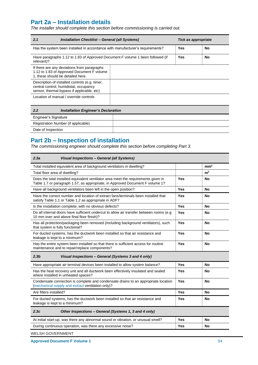## **Part 2a – Installation details**

*The installer should complete this section before commissioning is carried out.*

| 2.1<br>Installation Checklist - General (all Systems)                                                                                  | Tick as appropriate |    |
|----------------------------------------------------------------------------------------------------------------------------------------|---------------------|----|
| Has the system been installed in accordance with manufacturer's requirements?                                                          | Yes                 | No |
| Have paragraphs 1.12 to 1.83 of Approved Document F volume 1 been followed (if<br>relevant)?                                           | Yes                 | No |
| If there are any deviations from paragraphs<br>1.12 to 1.83 of Approved Document F volume<br>1, these should be detailed here.         |                     |    |
| Description of installed controls (e.g. timer,<br>central control, humidistat, occupancy<br>sensor, thermal bypass if applicable, etc) |                     |    |
| Location of manual / override controls                                                                                                 |                     |    |

| 2.2                  | <b>Installation Engineer's Declaration</b> |
|----------------------|--------------------------------------------|
| Engineer's Signature |                                            |
|                      | Registration Number (if applicable)        |
| Date of Inspection   |                                            |

## **Part 2b – Inspection of installation**

*The commissioning engineer should complete this section before completing Part 3.*

| 2.3a<br>Visual Inspections - General (all Systems)                                                                                                                  |            |                 |  |  |
|---------------------------------------------------------------------------------------------------------------------------------------------------------------------|------------|-----------------|--|--|
| Total installed equivalent area of background ventilators in dwelling?                                                                                              |            | mm <sup>2</sup> |  |  |
| Total floor area of dwelling?                                                                                                                                       |            | m <sup>2</sup>  |  |  |
| Does the total installed equivalent ventilator area meet the requirements given in<br>Table 1.7 or paragraph 1.57, as appropriate, in Approved Document F volume 1? | Yes        | No              |  |  |
| Have all background ventilators been left in the open position?                                                                                                     | <b>Yes</b> | <b>No</b>       |  |  |
| Have the correct number and location of extract fans/terminals been installed that<br>satisfy Table 1.1 or Table 1.2 as appropriate in ADF?                         | Yes        | No              |  |  |
| Is the installation complete, with no obvious defects?                                                                                                              | <b>Yes</b> | <b>No</b>       |  |  |
| Do all internal doors have sufficient undercut to allow air transfer between rooms (e.g.<br>10 mm over and above final floor finish)?                               | Yes        | No              |  |  |
| Has all protection/packaging been removed (including background ventilators), such<br>that system is fully functional?                                              | Yes        | No              |  |  |
| For ducted systems, has the ductwork been installed so that air resistance and<br>Yes<br><b>No</b><br>leakage is kept to a minimum?                                 |            |                 |  |  |
| Has the entire system been installed so that there is sufficient access for routine<br>maintenance and to repair/replace components?                                | <b>No</b>  |                 |  |  |
| 2.3 <sub>b</sub><br>Visual Inspections - General (Systems 3 and 4 only)                                                                                             |            |                 |  |  |
| Have appropriate air terminal devices been installed to allow system balance?                                                                                       | <b>Yes</b> | No              |  |  |
| Has the heat recovery unit and all ductwork been effectively insulated and sealed<br>where installed in unheated spaces?                                            | <b>Yes</b> | No              |  |  |
| Condensate connection is complete and condensate drains to an appropriate location<br><b>Yes</b><br><b>No</b><br>(mechanical supply and extract ventilation only)?  |            |                 |  |  |
| Are filters installed?                                                                                                                                              | No         |                 |  |  |
| For ducted systems, has the ductwork been installed so that air resistance and<br>leakage is kept to a minimum?                                                     | Yes        | No              |  |  |
| 2.3c<br>Other Inspections - General (Systems 1, 3 and 4 only)                                                                                                       |            |                 |  |  |
| At initial start-up, was there any abnormal sound or vibration, or unusual smell?<br>Yes<br><b>No</b>                                                               |            |                 |  |  |
| During continuous operation, was there any excessive noise?<br><b>Yes</b><br><b>No</b>                                                                              |            |                 |  |  |
|                                                                                                                                                                     |            |                 |  |  |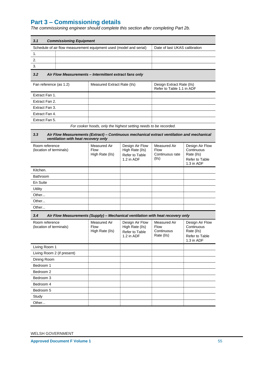# **Part 3 – Commissioning details**

*The commissioning engineer should complete this section after completing Part 2b.*

| Schedule of air flow measurement equipment used (model and serial)                                                                       |                                                                  |                                                                    | Date of last UKAS calibration                           |                                                                             |
|------------------------------------------------------------------------------------------------------------------------------------------|------------------------------------------------------------------|--------------------------------------------------------------------|---------------------------------------------------------|-----------------------------------------------------------------------------|
| 1.                                                                                                                                       |                                                                  |                                                                    |                                                         |                                                                             |
| 2.                                                                                                                                       |                                                                  |                                                                    |                                                         |                                                                             |
| 3.                                                                                                                                       |                                                                  |                                                                    |                                                         |                                                                             |
| 3.2<br>Air Flow Measurements - Intermittent extract fans only                                                                            |                                                                  |                                                                    |                                                         |                                                                             |
| Fan reference (as 1.2)                                                                                                                   | Measured Extract Rate (I/s)                                      |                                                                    | Design Extract Rate (I/s)<br>Refer to Table 1.1 in ADF  |                                                                             |
| Extract Fan 1.                                                                                                                           |                                                                  |                                                                    |                                                         |                                                                             |
| Extract Fan 2.                                                                                                                           |                                                                  |                                                                    |                                                         |                                                                             |
| Extract Fan 3.                                                                                                                           |                                                                  |                                                                    |                                                         |                                                                             |
| Extract Fan 4.                                                                                                                           |                                                                  |                                                                    |                                                         |                                                                             |
| Extract Fan 5.                                                                                                                           |                                                                  |                                                                    |                                                         |                                                                             |
|                                                                                                                                          | For cooker hoods, only the highest setting needs to be recorded. |                                                                    |                                                         |                                                                             |
| 3.3<br>Air Flow Measurements (Extract) - Continuous mechanical extract ventilation and mechanical<br>ventilation with heat recovery only |                                                                  |                                                                    |                                                         |                                                                             |
| Room reference<br>(location of terminals)                                                                                                | <b>Measured Air</b><br><b>Flow</b><br>High Rate (I/s)            | Design Air Flow<br>High Rate (I/s)<br>Refer to Table<br>1.2 in ADF | Measured Air<br><b>Flow</b><br>Continuous rate<br>(1/s) | Design Air Flow<br>Continuous<br>Rate (I/s)<br>Refer to Table<br>1.3 in ADF |
| Kitchen.                                                                                                                                 |                                                                  |                                                                    |                                                         |                                                                             |
| Bathroom                                                                                                                                 |                                                                  |                                                                    |                                                         |                                                                             |
| En Suite                                                                                                                                 |                                                                  |                                                                    |                                                         |                                                                             |
| Utility                                                                                                                                  |                                                                  |                                                                    |                                                         |                                                                             |
| Other                                                                                                                                    |                                                                  |                                                                    |                                                         |                                                                             |
| Other                                                                                                                                    |                                                                  |                                                                    |                                                         |                                                                             |
| Other                                                                                                                                    |                                                                  |                                                                    |                                                         |                                                                             |
| 3.4<br>Air Flow Measurements (Supply) - Mechanical ventilation with heat recovery only                                                   |                                                                  |                                                                    |                                                         |                                                                             |
| Room reference<br>(location of terminals)                                                                                                | Measured Air<br><b>Flow</b><br>High Rate (I/s)                   | Design Air Flow<br>High Rate (I/s)<br>Refer to Table<br>1.2 in ADF | Measured Air<br>Flow<br>Continuous<br>Rate (I/s)        | Design Air Flow<br>Continuous<br>Rate (I/s)<br>Refer to Table<br>1.3 in ADF |
| Living Room 1                                                                                                                            |                                                                  |                                                                    |                                                         |                                                                             |
| Living Room 2 (if present)                                                                                                               |                                                                  |                                                                    |                                                         |                                                                             |
| Dining Room                                                                                                                              |                                                                  |                                                                    |                                                         |                                                                             |
| Bedroom 1                                                                                                                                |                                                                  |                                                                    |                                                         |                                                                             |
| Bedroom 2                                                                                                                                |                                                                  |                                                                    |                                                         |                                                                             |
| Bedroom 3                                                                                                                                |                                                                  |                                                                    |                                                         |                                                                             |
| Bedroom 4                                                                                                                                |                                                                  |                                                                    |                                                         |                                                                             |
| Bedroom 5                                                                                                                                |                                                                  |                                                                    |                                                         |                                                                             |
| Study                                                                                                                                    |                                                                  |                                                                    |                                                         |                                                                             |
| Other                                                                                                                                    |                                                                  |                                                                    |                                                         |                                                                             |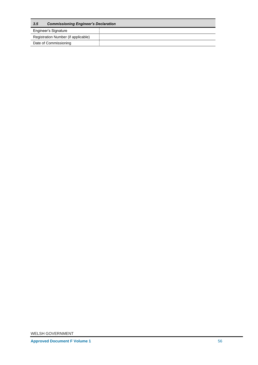| 3.5                                 | <b>Commissioning Engineer's Declaration</b> |  |  |
|-------------------------------------|---------------------------------------------|--|--|
| Engineer's Signature                |                                             |  |  |
| Registration Number (if applicable) |                                             |  |  |
| Date of Commissioning               |                                             |  |  |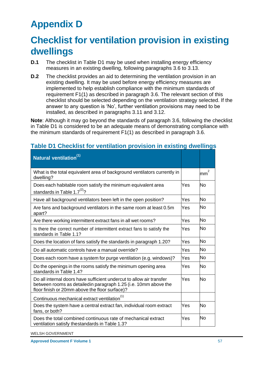# <span id="page-59-0"></span>**Appendix D**

# <span id="page-59-1"></span>**Checklist for ventilation provision in existing dwellings**

- **D.1** The checklist in Table D1 may be used when installing energy efficiency measures in an existing dwelling, following paragraphs 3.6 to 3.13.
- **D.2** The checklist provides an aid to determining the ventilation provision in an existing dwelling. It may be used before energy efficiency measures are implemented to help establish compliance with the minimum standards of requirement F1(1) as described in paragraph 3.6. The relevant section of this checklist should be selected depending on the ventilation strategy selected. If the answer to any question is 'No', further ventilation provisions may need to be installed, as described in paragraphs 3.11 and 3.12.

**Note**: Although it may go beyond the standards of paragraph 3.6, following the checklist in Table D1 is considered to be an adequate means of demonstrating compliance with the minimum standards of requirement F1(1) as described in paragraph 3.6.

| Natural ventilation <sup>(1)</sup>                                                                                                                                                        |     |           |
|-------------------------------------------------------------------------------------------------------------------------------------------------------------------------------------------|-----|-----------|
| What is the total equivalent area of background ventilators currently in<br>dwelling?                                                                                                     |     | 2<br>mm   |
| Does each habitable room satisfy the minimum equivalent area<br>standards in Table 1.7 <sup>(2)</sup> ?                                                                                   | Yes | No        |
| Have all background ventilators been left in the open position?                                                                                                                           | Yes | <b>No</b> |
| Are fans and background ventilators in the same room at least 0.5m<br>apart?                                                                                                              | Yes | No        |
| Are there working intermittent extract fans in all wet rooms?                                                                                                                             | Yes | <b>No</b> |
| Is there the correct number of intermittent extract fans to satisfy the<br>standards in Table 1.1?                                                                                        | Yes | No        |
| Does the location of fans satisfy the standards in paragraph 1.20?                                                                                                                        | Yes | No        |
| Do all automatic controls have a manual override?                                                                                                                                         | Yes | No        |
| Does each room have a system for purge ventilation (e.g. windows)?                                                                                                                        | Yes | <b>No</b> |
| Do the openings in the rooms satisfy the minimum opening area<br>standards in Table 1.4?                                                                                                  | Yes | No        |
| Do all internal doors have sufficient undercut to allow air transfer<br>between rooms as detailedin paragraph 1.25 (i.e. 10mm above the<br>floor finish or 20mm above the floor surface)? | Yes | No        |
| Continuous mechanical extract ventilation <sup>(1)</sup>                                                                                                                                  |     |           |
| Does the system have a central extract fan, individual room extract<br>fans, or both?                                                                                                     | Yes | No        |
| Does the total combined continuous rate of mechanical extract<br>ventilation satisfy thestandards in Table 1.3?                                                                           | Yes | No        |

# **Table D1 Checklist for ventilation provision in existing dwellings**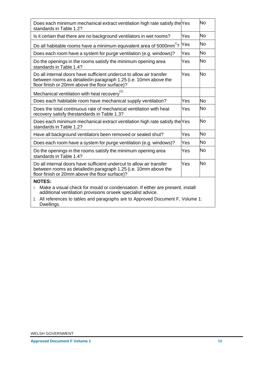| Does each minimum mechanical extract ventilation high rate satisfy the Yes<br>standards in Table 1.2?                                                                                     |     | No        |  |
|-------------------------------------------------------------------------------------------------------------------------------------------------------------------------------------------|-----|-----------|--|
| Is it certain that there are no background ventilators in wet rooms?                                                                                                                      | Yes | <b>No</b> |  |
| Do all habitable rooms have a minimum equivalent area of 5000mm <sup>2</sup> ?                                                                                                            | Yes | No        |  |
| Does each room have a system for purge ventilation (e.g. windows)?                                                                                                                        | Yes | <b>No</b> |  |
| Do the openings in the rooms satisfy the minimum opening area<br>standards in Table 1.4?                                                                                                  | Yes | No        |  |
| Do all internal doors have sufficient undercut to allow air transfer<br>between rooms as detailedin paragraph 1.25 (i.e. 10mm above the<br>floor finish or 20mm above the floor surface)? | Yes | No        |  |
| Mechanical ventilation with heat recovery <sup>(1)</sup>                                                                                                                                  |     |           |  |
| Does each habitable room have mechanical supply ventilation?                                                                                                                              | Yes | <b>No</b> |  |
| Does the total continuous rate of mechanical ventilation with heat<br>recovery satisfy thestandards in Table 1.3?                                                                         | Yes | <b>No</b> |  |
| Does each minimum mechanical extract ventilation high rate satisfy the Yes<br>standards in Table 1.2?                                                                                     |     | <b>No</b> |  |
| Have all background ventilators been removed or sealed shut?                                                                                                                              | Yes | <b>No</b> |  |
| Does each room have a system for purge ventilation (e.g. windows)?                                                                                                                        | Yes | <b>No</b> |  |
| Do the openings in the rooms satisfy the minimum opening area<br>standards in Table 1.4?                                                                                                  | Yes | <b>No</b> |  |
| Do all internal doors have sufficient undercut to allow air transfer<br>between rooms as detailedin paragraph 1.25 (i.e. 10mm above the<br>floor finish or 20mm above the floor surface)? | Yes | No        |  |
| <b>NOTES:</b>                                                                                                                                                                             |     |           |  |
| Make a visual check for mould or condensation. If either are present, install<br>additional ventilation provisions orseek specialist advice.                                              |     |           |  |
| All references to tables and paragraphs are to Approved Document F, Volume 1:<br>2.<br>Dwellings.                                                                                         |     |           |  |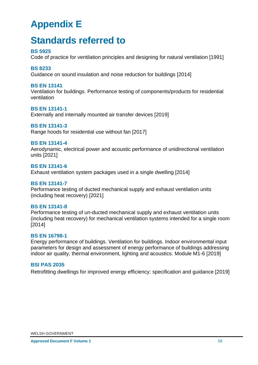# <span id="page-61-0"></span>**Appendix E**

# <span id="page-61-1"></span>**Standards referred to**

#### **BS 5925**

Code of practice for ventilation principles and designing for natural ventilation [1991]

#### **BS 8233**

Guidance on sound insulation and noise reduction for buildings [2014]

#### **BS EN 13141**

Ventilation for buildings. Performance testing of components/products for residential ventilation

#### **BS EN 13141-1**

Externally and internally mounted air transfer devices [2019]

#### **BS EN 13141-3**

Range hoods for residential use without fan [2017]

#### **BS EN 13141-4**

Aerodynamic, electrical power and acoustic performance of unidirectional ventilation units [2021]

#### **BS EN 13141-6**

Exhaust ventilation system packages used in a single dwelling [2014]

#### **BS EN 13141-7**

Performance testing of ducted mechanical supply and exhaust ventilation units (including heat recovery) [2021]

#### **BS EN 13141-8**

Performance testing of un-ducted mechanical supply and exhaust ventilation units (including heat recovery) for mechanical ventilation systems intended for a single room [2014]

#### **BS EN 16798-1**

Energy performance of buildings. Ventilation for buildings. Indoor environmental input parameters for design and assessment of energy performance of buildings addressing indoor air quality, thermal environment, lighting and acoustics. Module M1-6 [2019]

#### **BSI PAS 2035**

Retrofitting dwellings for improved energy efficiency: specification and guidance [2019]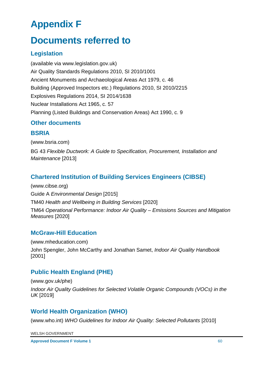# <span id="page-62-0"></span>**Appendix F**

# <span id="page-62-1"></span>**Documents referred to**

# **Legislation**

(available via www.legislation.gov.uk) Air Quality Standards Regulations 2010, SI 2010/1001 Ancient Monuments and Archaeological Areas Act 1979, c. 46 Building (Approved Inspectors etc.) Regulations 2010, SI 2010/2215 Explosives Regulations 2014, SI 2014/1638 Nuclear Installations Act 1965, c. 57 Planning (Listed Buildings and Conservation Areas) Act 1990, c. 9

## **Other documents**

#### **BSRIA**

(www.bsria.com)

BG 43 *Flexible Ductwork: A Guide to Specification, Procurement, Installation and Maintenance* [2013]

# **Chartered Institution of Building Services Engineers (CIBSE)**

(www.cibse.org) Guide A *Environmental Design* [2015] TM40 *Health and Wellbeing in Building Services* [2020] TM64 *Operational Performance: Indoor Air Quality – Emissions Sources and Mitigation Measures* [2020]

## **McGraw-Hill Education**

(www.mheducation.com) John Spengler, John McCarthy and Jonathan Samet, *Indoor Air Quality Handbook*  [2001]

# **Public Health England (PHE)**

(www.gov.uk/phe)

*Indoor Air Quality Guidelines for Selected Volatile Organic Compounds (VOCs) in the UK* [2019]

# **World Health Organization (WHO)**

(www.who.int) *WHO Guidelines for Indoor Air Quality: Selected Pollutants* [2010]